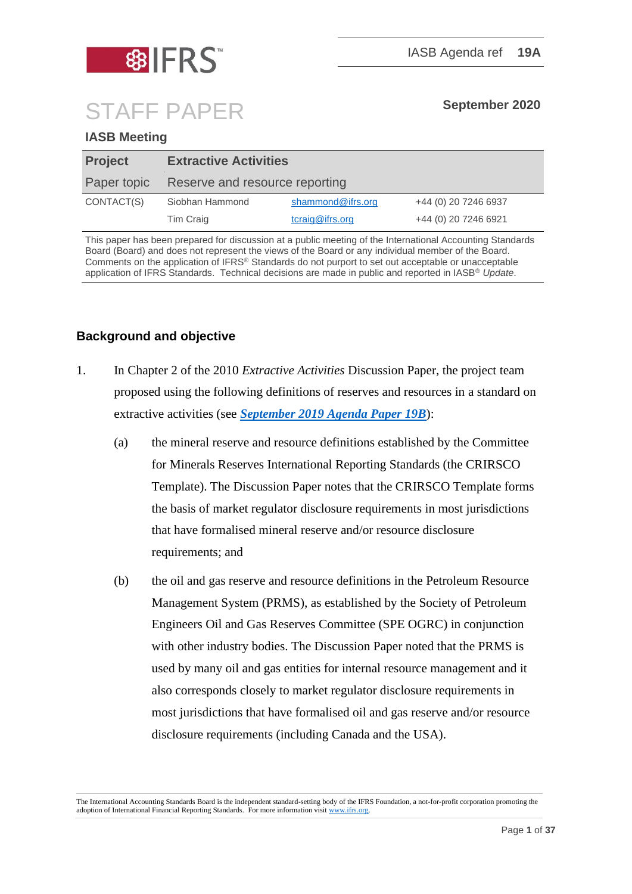

# STAFF PAPER **September <sup>2020</sup>**

#### **IASB Meeting**

| <b>Project</b> | <b>Extractive Activities</b>   |                   |                      |
|----------------|--------------------------------|-------------------|----------------------|
| Paper topic    | Reserve and resource reporting |                   |                      |
| CONTACT(S)     | Siobhan Hammond                | shammond@ifrs.org | +44 (0) 20 7246 6937 |
|                | Tim Craig                      | tcraig@ifrs.org   | +44 (0) 20 7246 6921 |

This paper has been prepared for discussion at a public meeting of the International Accounting Standards Board (Board) and does not represent the views of the Board or any individual member of the Board. Comments on the application of IFRS® Standards do not purport to set out acceptable or unacceptable application of IFRS Standards. Technical decisions are made in public and reported in IASB® *Update*.

## **Background and objective**

- 1. In Chapter 2 of the 2010 *Extractive Activities* Discussion Paper, the project team proposed using the following definitions of reserves and resources in a standard on extractive activities (see *[September 2019 Agenda Paper 19B](https://cdn.ifrs.org/-/media/feature/meetings/2019/september/iasb/ap19b-extractive-activities.pdf)*):
	- (a) the mineral reserve and resource definitions established by the Committee for Minerals Reserves International Reporting Standards (the CRIRSCO Template). The Discussion Paper notes that the CRIRSCO Template forms the basis of market regulator disclosure requirements in most jurisdictions that have formalised mineral reserve and/or resource disclosure requirements; and
	- (b) the oil and gas reserve and resource definitions in the Petroleum Resource Management System (PRMS), as established by the Society of Petroleum Engineers Oil and Gas Reserves Committee (SPE OGRC) in conjunction with other industry bodies. The Discussion Paper noted that the PRMS is used by many oil and gas entities for internal resource management and it also corresponds closely to market regulator disclosure requirements in most jurisdictions that have formalised oil and gas reserve and/or resource disclosure requirements (including Canada and the USA).

The International Accounting Standards Board is the independent standard-setting body of the IFRS Foundation, a not-for-profit corporation promoting the adoption of International Financial Reporting Standards. For more information visi[t www.ifrs.org.](http://www.ifrs.org/)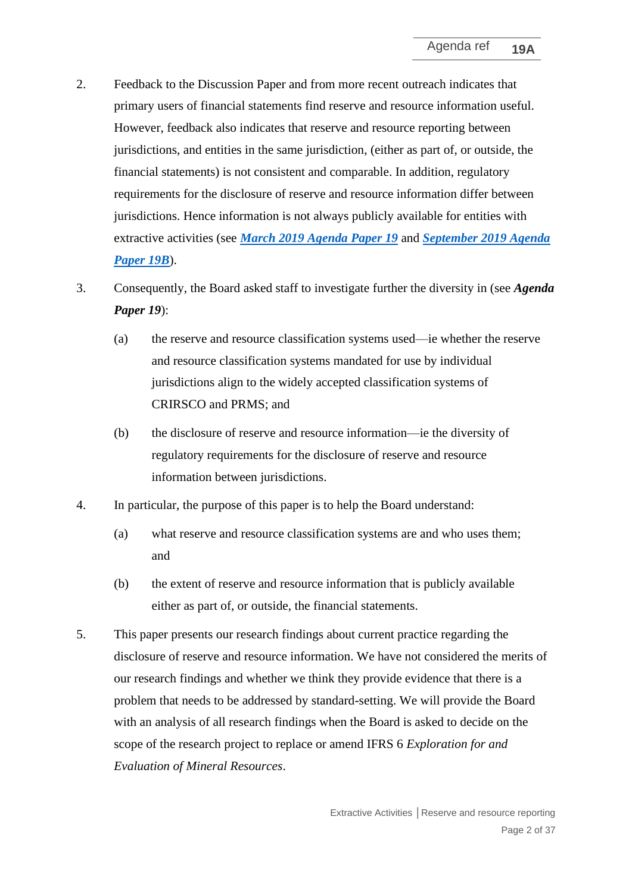- 2. Feedback to the Discussion Paper and from more recent outreach indicates that primary users of financial statements find reserve and resource information useful. However, feedback also indicates that reserve and resource reporting between jurisdictions, and entities in the same jurisdiction, (either as part of, or outside, the financial statements) is not consistent and comparable. In addition, regulatory requirements for the disclosure of reserve and resource information differ between jurisdictions. Hence information is not always publicly available for entities with extractive activities (see *[March 2019 Agenda Paper 19](https://cdn.ifrs.org/-/media/feature/meetings/2019/march/iasb/ap19-extractive-activities.pdf)* and *[September 2019 Agenda](https://cdn.ifrs.org/-/media/feature/meetings/2019/september/iasb/ap19b-extractive-activities.pdf)  [Paper 19B](https://cdn.ifrs.org/-/media/feature/meetings/2019/september/iasb/ap19b-extractive-activities.pdf)*).
- 3. Consequently, the Board asked staff to investigate further the diversity in (see *Agenda Paper 19*):
	- (a) the reserve and resource classification systems used—ie whether the reserve and resource classification systems mandated for use by individual jurisdictions align to the widely accepted classification systems of CRIRSCO and PRMS; and
	- (b) the disclosure of reserve and resource information—ie the diversity of regulatory requirements for the disclosure of reserve and resource information between jurisdictions.
- 4. In particular, the purpose of this paper is to help the Board understand:
	- (a) what reserve and resource classification systems are and who uses them; and
	- (b) the extent of reserve and resource information that is publicly available either as part of, or outside, the financial statements.
- 5. This paper presents our research findings about current practice regarding the disclosure of reserve and resource information. We have not considered the merits of our research findings and whether we think they provide evidence that there is a problem that needs to be addressed by standard-setting. We will provide the Board with an analysis of all research findings when the Board is asked to decide on the scope of the research project to replace or amend IFRS 6 *Exploration for and Evaluation of Mineral Resources*.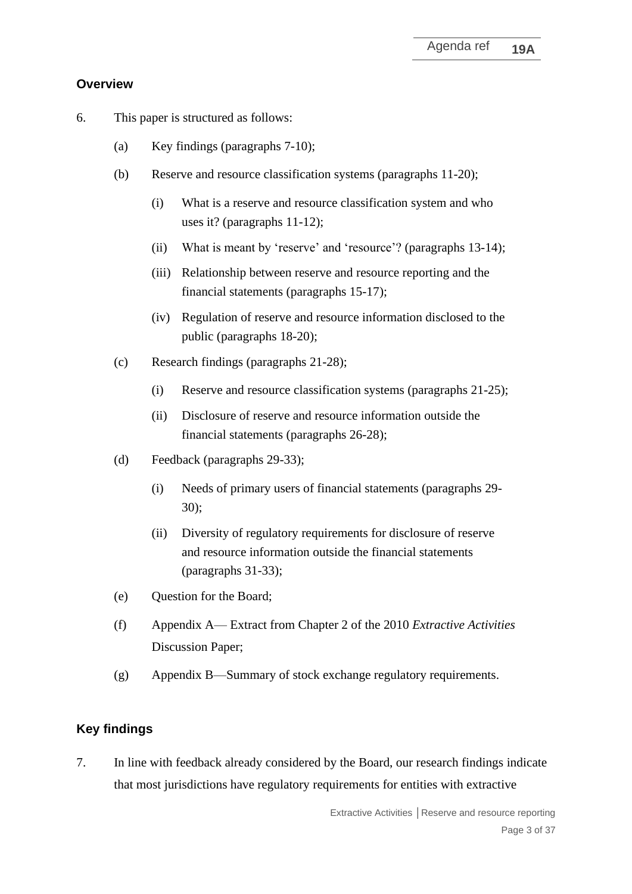## **Overview**

- 6. This paper is structured as follows:
	- (a) Key findings (paragraphs 7-10);
	- (b) Reserve and resource classification systems (paragraphs 11-20);
		- (i) What is a reserve and resource classification system and who uses it? (paragraphs 11-12);
		- (ii) What is meant by 'reserve' and 'resource'? (paragraphs 13-14);
		- (iii) Relationship between reserve and resource reporting and the financial statements (paragraphs 15-17);
		- (iv) Regulation of reserve and resource information disclosed to the public (paragraphs 18-20);
	- (c) Research findings (paragraphs 21-28);
		- (i) Reserve and resource classification systems (paragraphs 21-25);
		- (ii) Disclosure of reserve and resource information outside the financial statements (paragraphs 26-28);
	- (d) Feedback (paragraphs 29-33);
		- (i) Needs of primary users of financial statements (paragraphs 29- 30);
		- (ii) Diversity of regulatory requirements for disclosure of reserve and resource information outside the financial statements (paragraphs 31-33);
	- (e) Question for the Board;
	- (f) Appendix A— Extract from Chapter 2 of the 2010 *Extractive Activities* Discussion Paper;
	- (g) Appendix B—Summary of stock exchange regulatory requirements.

## **Key findings**

7. In line with feedback already considered by the Board, our research findings indicate that most jurisdictions have regulatory requirements for entities with extractive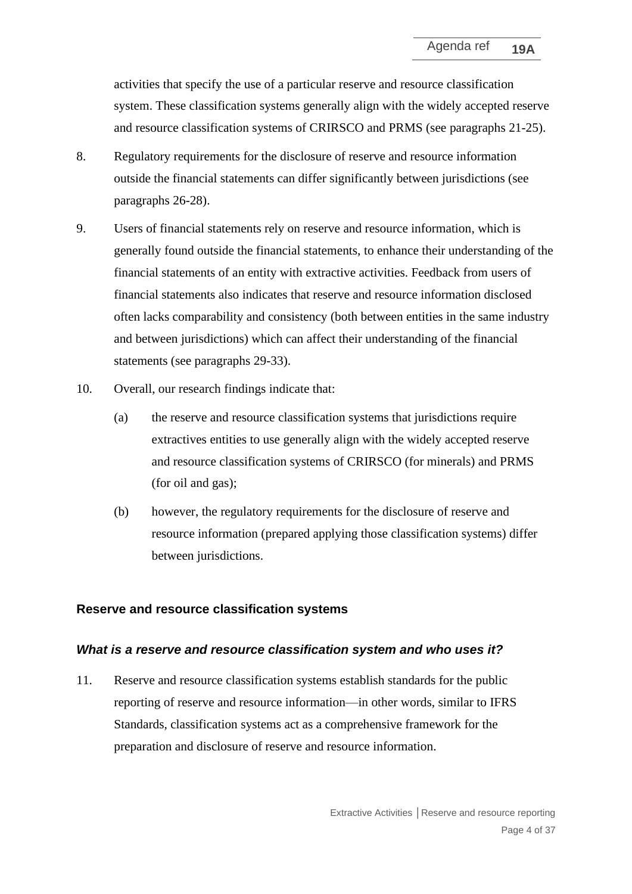activities that specify the use of a particular reserve and resource classification system. These classification systems generally align with the widely accepted reserve and resource classification systems of CRIRSCO and PRMS (see paragraphs 21-25).

- 8. Regulatory requirements for the disclosure of reserve and resource information outside the financial statements can differ significantly between jurisdictions (see paragraphs 26-28).
- 9. Users of financial statements rely on reserve and resource information, which is generally found outside the financial statements, to enhance their understanding of the financial statements of an entity with extractive activities. Feedback from users of financial statements also indicates that reserve and resource information disclosed often lacks comparability and consistency (both between entities in the same industry and between jurisdictions) which can affect their understanding of the financial statements (see paragraphs 29-33).
- 10. Overall, our research findings indicate that:
	- (a) the reserve and resource classification systems that jurisdictions require extractives entities to use generally align with the widely accepted reserve and resource classification systems of CRIRSCO (for minerals) and PRMS (for oil and gas);
	- (b) however, the regulatory requirements for the disclosure of reserve and resource information (prepared applying those classification systems) differ between jurisdictions.

#### **Reserve and resource classification systems**

#### *What is a reserve and resource classification system and who uses it?*

11. Reserve and resource classification systems establish standards for the public reporting of reserve and resource information—in other words, similar to IFRS Standards, classification systems act as a comprehensive framework for the preparation and disclosure of reserve and resource information.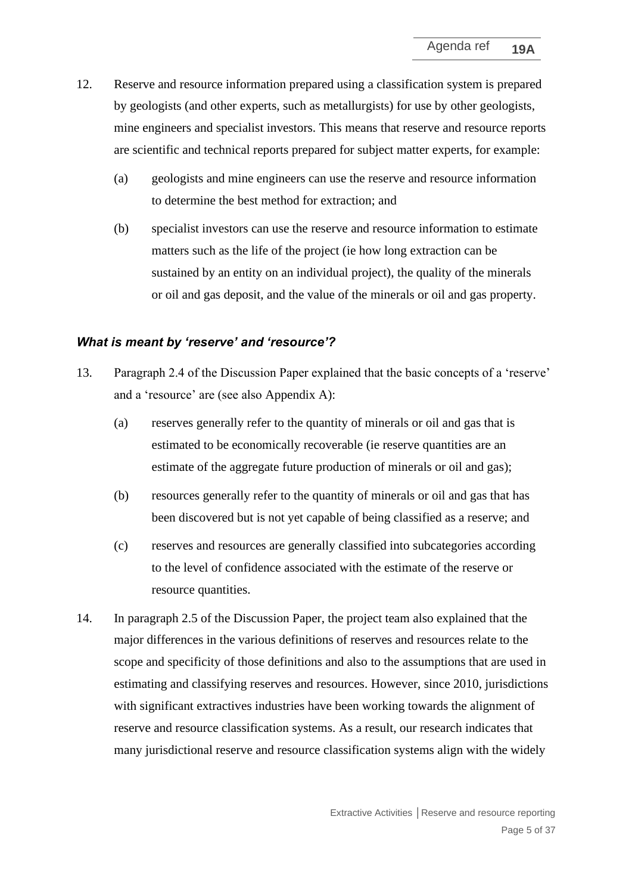- 12. Reserve and resource information prepared using a classification system is prepared by geologists (and other experts, such as metallurgists) for use by other geologists, mine engineers and specialist investors. This means that reserve and resource reports are scientific and technical reports prepared for subject matter experts, for example:
	- (a) geologists and mine engineers can use the reserve and resource information to determine the best method for extraction; and
	- (b) specialist investors can use the reserve and resource information to estimate matters such as the life of the project (ie how long extraction can be sustained by an entity on an individual project), the quality of the minerals or oil and gas deposit, and the value of the minerals or oil and gas property.

#### *What is meant by 'reserve' and 'resource'?*

- 13. Paragraph 2.4 of the Discussion Paper explained that the basic concepts of a 'reserve' and a 'resource' are (see also Appendix A):
	- (a) reserves generally refer to the quantity of minerals or oil and gas that is estimated to be economically recoverable (ie reserve quantities are an estimate of the aggregate future production of minerals or oil and gas);
	- (b) resources generally refer to the quantity of minerals or oil and gas that has been discovered but is not yet capable of being classified as a reserve; and
	- (c) reserves and resources are generally classified into subcategories according to the level of confidence associated with the estimate of the reserve or resource quantities.
- 14. In paragraph 2.5 of the Discussion Paper, the project team also explained that the major differences in the various definitions of reserves and resources relate to the scope and specificity of those definitions and also to the assumptions that are used in estimating and classifying reserves and resources. However, since 2010, jurisdictions with significant extractives industries have been working towards the alignment of reserve and resource classification systems. As a result, our research indicates that many jurisdictional reserve and resource classification systems align with the widely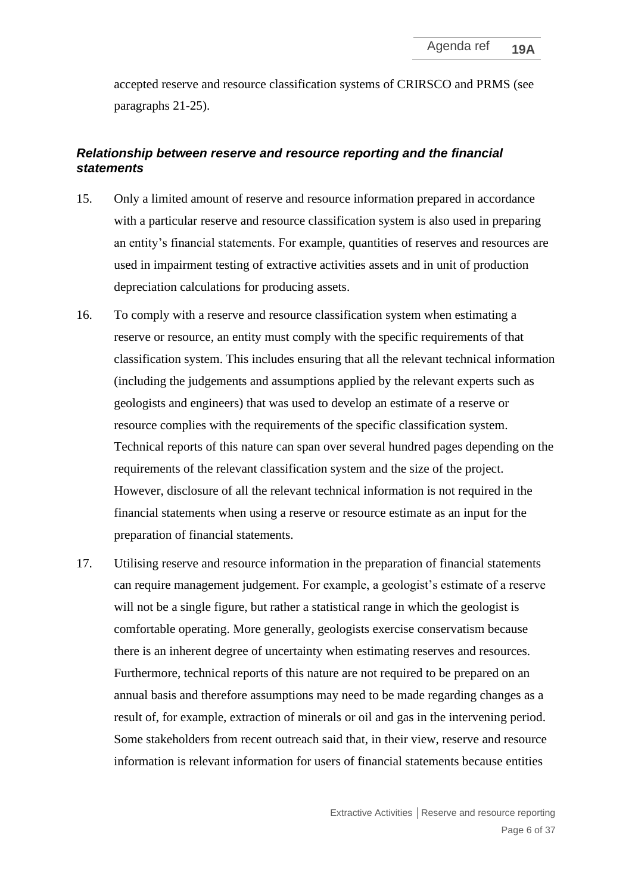accepted reserve and resource classification systems of CRIRSCO and PRMS (see paragraphs 21-25).

#### *Relationship between reserve and resource reporting and the financial statements*

- 15. Only a limited amount of reserve and resource information prepared in accordance with a particular reserve and resource classification system is also used in preparing an entity's financial statements. For example, quantities of reserves and resources are used in impairment testing of extractive activities assets and in unit of production depreciation calculations for producing assets.
- 16. To comply with a reserve and resource classification system when estimating a reserve or resource, an entity must comply with the specific requirements of that classification system. This includes ensuring that all the relevant technical information (including the judgements and assumptions applied by the relevant experts such as geologists and engineers) that was used to develop an estimate of a reserve or resource complies with the requirements of the specific classification system. Technical reports of this nature can span over several hundred pages depending on the requirements of the relevant classification system and the size of the project. However, disclosure of all the relevant technical information is not required in the financial statements when using a reserve or resource estimate as an input for the preparation of financial statements.
- 17. Utilising reserve and resource information in the preparation of financial statements can require management judgement. For example, a geologist's estimate of a reserve will not be a single figure, but rather a statistical range in which the geologist is comfortable operating. More generally, geologists exercise conservatism because there is an inherent degree of uncertainty when estimating reserves and resources. Furthermore, technical reports of this nature are not required to be prepared on an annual basis and therefore assumptions may need to be made regarding changes as a result of, for example, extraction of minerals or oil and gas in the intervening period. Some stakeholders from recent outreach said that, in their view, reserve and resource information is relevant information for users of financial statements because entities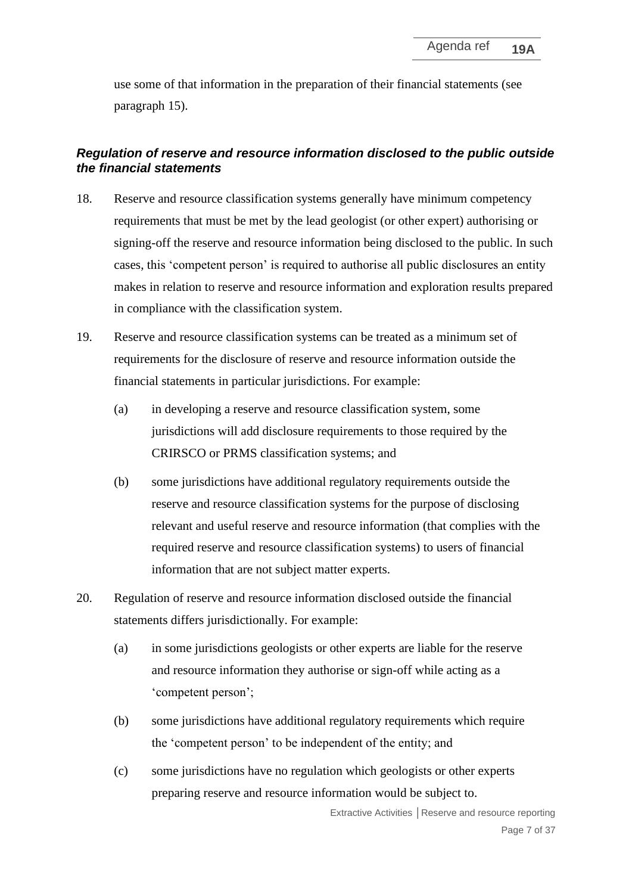use some of that information in the preparation of their financial statements (see paragraph 15).

### *Regulation of reserve and resource information disclosed to the public outside the financial statements*

- 18. Reserve and resource classification systems generally have minimum competency requirements that must be met by the lead geologist (or other expert) authorising or signing-off the reserve and resource information being disclosed to the public. In such cases, this 'competent person' is required to authorise all public disclosures an entity makes in relation to reserve and resource information and exploration results prepared in compliance with the classification system.
- 19. Reserve and resource classification systems can be treated as a minimum set of requirements for the disclosure of reserve and resource information outside the financial statements in particular jurisdictions. For example:
	- (a) in developing a reserve and resource classification system, some jurisdictions will add disclosure requirements to those required by the CRIRSCO or PRMS classification systems; and
	- (b) some jurisdictions have additional regulatory requirements outside the reserve and resource classification systems for the purpose of disclosing relevant and useful reserve and resource information (that complies with the required reserve and resource classification systems) to users of financial information that are not subject matter experts.
- 20. Regulation of reserve and resource information disclosed outside the financial statements differs jurisdictionally. For example:
	- (a) in some jurisdictions geologists or other experts are liable for the reserve and resource information they authorise or sign-off while acting as a 'competent person';
	- (b) some jurisdictions have additional regulatory requirements which require the 'competent person' to be independent of the entity; and
	- (c) some jurisdictions have no regulation which geologists or other experts preparing reserve and resource information would be subject to.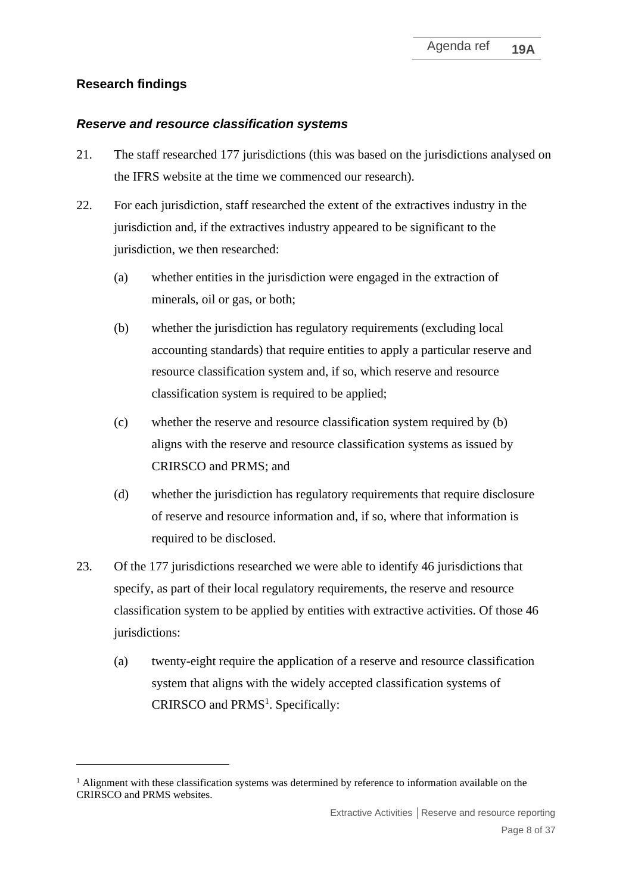# **Research findings**

#### *Reserve and resource classification systems*

- 21. The staff researched 177 jurisdictions (this was based on the jurisdictions analysed on the IFRS website at the time we commenced our research).
- 22. For each jurisdiction, staff researched the extent of the extractives industry in the jurisdiction and, if the extractives industry appeared to be significant to the jurisdiction, we then researched:
	- (a) whether entities in the jurisdiction were engaged in the extraction of minerals, oil or gas, or both;
	- (b) whether the jurisdiction has regulatory requirements (excluding local accounting standards) that require entities to apply a particular reserve and resource classification system and, if so, which reserve and resource classification system is required to be applied;
	- (c) whether the reserve and resource classification system required by (b) aligns with the reserve and resource classification systems as issued by CRIRSCO and PRMS; and
	- (d) whether the jurisdiction has regulatory requirements that require disclosure of reserve and resource information and, if so, where that information is required to be disclosed.
- 23. Of the 177 jurisdictions researched we were able to identify 46 jurisdictions that specify, as part of their local regulatory requirements, the reserve and resource classification system to be applied by entities with extractive activities. Of those 46 jurisdictions:
	- (a) twenty-eight require the application of a reserve and resource classification system that aligns with the widely accepted classification systems of CRIRSCO and PRMS<sup>1</sup>. Specifically:

<sup>&</sup>lt;sup>1</sup> Alignment with these classification systems was determined by reference to information available on the CRIRSCO and PRMS websites.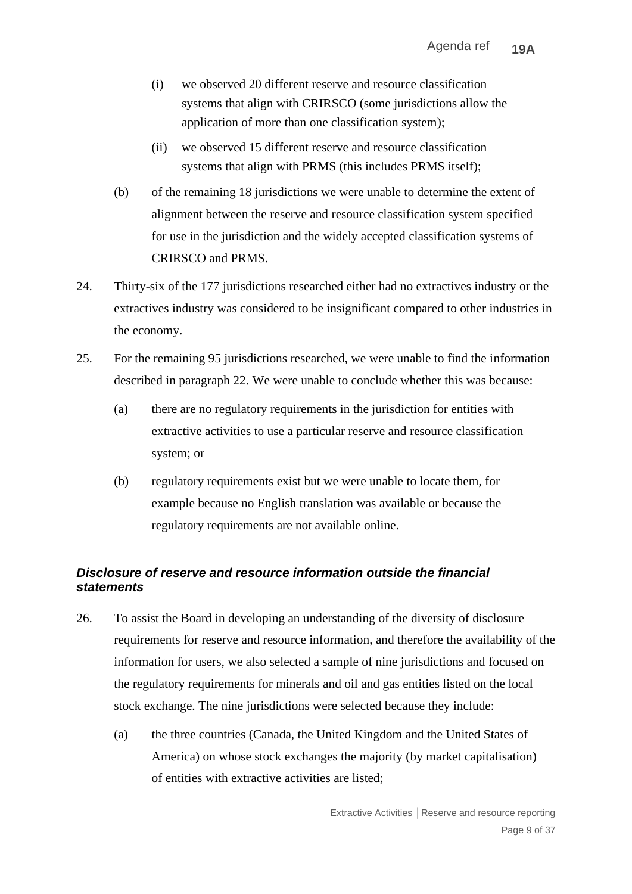- (i) we observed 20 different reserve and resource classification systems that align with CRIRSCO (some jurisdictions allow the application of more than one classification system);
- (ii) we observed 15 different reserve and resource classification systems that align with PRMS (this includes PRMS itself);
- (b) of the remaining 18 jurisdictions we were unable to determine the extent of alignment between the reserve and resource classification system specified for use in the jurisdiction and the widely accepted classification systems of CRIRSCO and PRMS.
- 24. Thirty-six of the 177 jurisdictions researched either had no extractives industry or the extractives industry was considered to be insignificant compared to other industries in the economy.
- 25. For the remaining 95 jurisdictions researched, we were unable to find the information described in paragraph 22. We were unable to conclude whether this was because:
	- (a) there are no regulatory requirements in the jurisdiction for entities with extractive activities to use a particular reserve and resource classification system; or
	- (b) regulatory requirements exist but we were unable to locate them, for example because no English translation was available or because the regulatory requirements are not available online.

#### *Disclosure of reserve and resource information outside the financial statements*

- 26. To assist the Board in developing an understanding of the diversity of disclosure requirements for reserve and resource information, and therefore the availability of the information for users, we also selected a sample of nine jurisdictions and focused on the regulatory requirements for minerals and oil and gas entities listed on the local stock exchange. The nine jurisdictions were selected because they include:
	- (a) the three countries (Canada, the United Kingdom and the United States of America) on whose stock exchanges the majority (by market capitalisation) of entities with extractive activities are listed;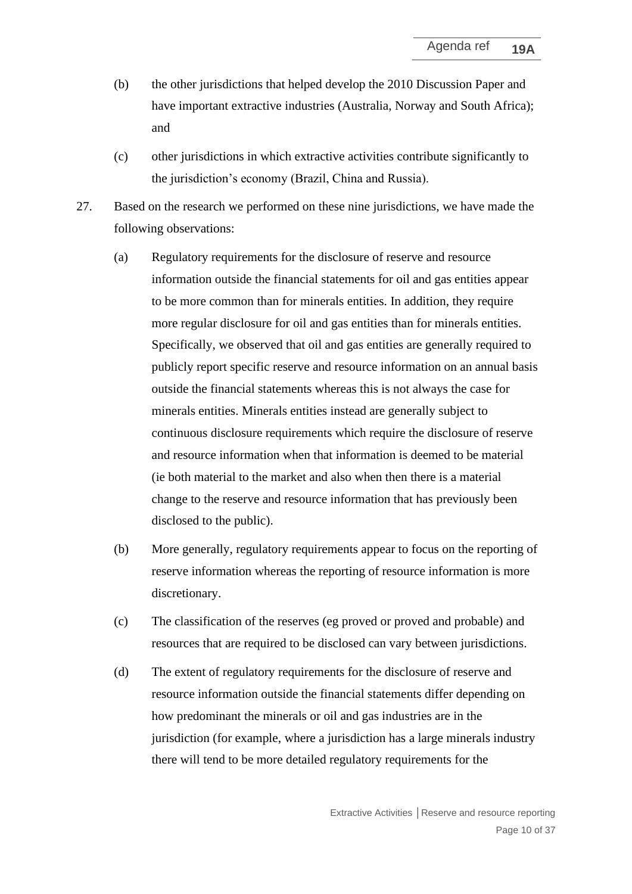- (b) the other jurisdictions that helped develop the 2010 Discussion Paper and have important extractive industries (Australia, Norway and South Africa); and
- (c) other jurisdictions in which extractive activities contribute significantly to the jurisdiction's economy (Brazil, China and Russia).
- 27. Based on the research we performed on these nine jurisdictions, we have made the following observations:
	- (a) Regulatory requirements for the disclosure of reserve and resource information outside the financial statements for oil and gas entities appear to be more common than for minerals entities. In addition, they require more regular disclosure for oil and gas entities than for minerals entities. Specifically, we observed that oil and gas entities are generally required to publicly report specific reserve and resource information on an annual basis outside the financial statements whereas this is not always the case for minerals entities. Minerals entities instead are generally subject to continuous disclosure requirements which require the disclosure of reserve and resource information when that information is deemed to be material (ie both material to the market and also when then there is a material change to the reserve and resource information that has previously been disclosed to the public).
	- (b) More generally, regulatory requirements appear to focus on the reporting of reserve information whereas the reporting of resource information is more discretionary.
	- (c) The classification of the reserves (eg proved or proved and probable) and resources that are required to be disclosed can vary between jurisdictions.
	- (d) The extent of regulatory requirements for the disclosure of reserve and resource information outside the financial statements differ depending on how predominant the minerals or oil and gas industries are in the jurisdiction (for example, where a jurisdiction has a large minerals industry there will tend to be more detailed regulatory requirements for the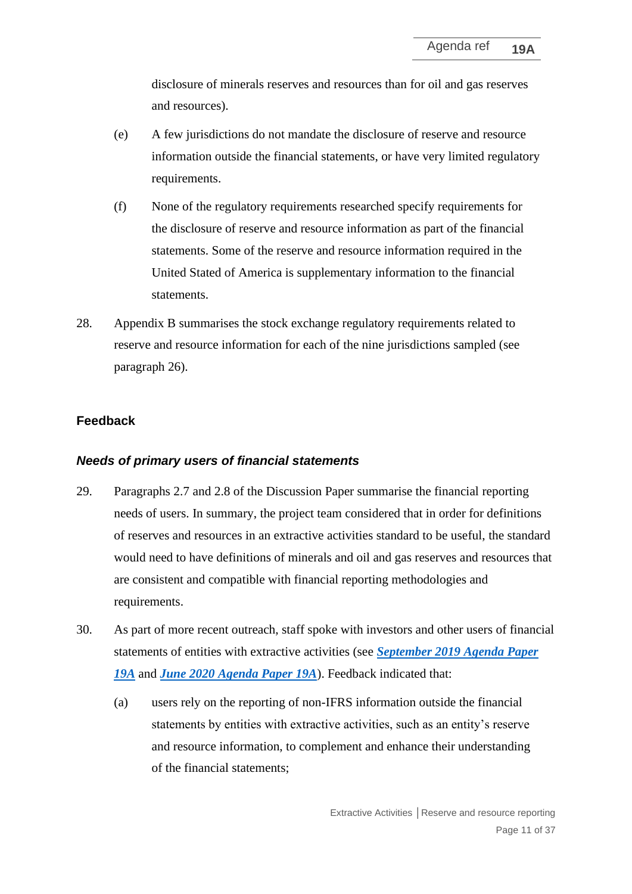disclosure of minerals reserves and resources than for oil and gas reserves and resources).

- (e) A few jurisdictions do not mandate the disclosure of reserve and resource information outside the financial statements, or have very limited regulatory requirements.
- (f) None of the regulatory requirements researched specify requirements for the disclosure of reserve and resource information as part of the financial statements. Some of the reserve and resource information required in the United Stated of America is supplementary information to the financial statements.
- 28. Appendix B summarises the stock exchange regulatory requirements related to reserve and resource information for each of the nine jurisdictions sampled (see paragraph 26).

#### **Feedback**

#### *Needs of primary users of financial statements*

- 29. Paragraphs 2.7 and 2.8 of the Discussion Paper summarise the financial reporting needs of users. In summary, the project team considered that in order for definitions of reserves and resources in an extractive activities standard to be useful, the standard would need to have definitions of minerals and oil and gas reserves and resources that are consistent and compatible with financial reporting methodologies and requirements.
- 30. As part of more recent outreach, staff spoke with investors and other users of financial statements of entities with extractive activities (see *[September 2019 Agenda Paper](https://cdn.ifrs.org/-/media/feature/meetings/2019/september/iasb/ap19a-extractive-activities.pdf)  [19A](https://cdn.ifrs.org/-/media/feature/meetings/2019/september/iasb/ap19a-extractive-activities.pdf)* and *[June 2020 Agenda Paper 19A](https://cdn.ifrs.org/-/media/feature/meetings/2020/june/iasb/ap19a-extractive-activities.pdf)*). Feedback indicated that:
	- (a) users rely on the reporting of non-IFRS information outside the financial statements by entities with extractive activities, such as an entity's reserve and resource information, to complement and enhance their understanding of the financial statements;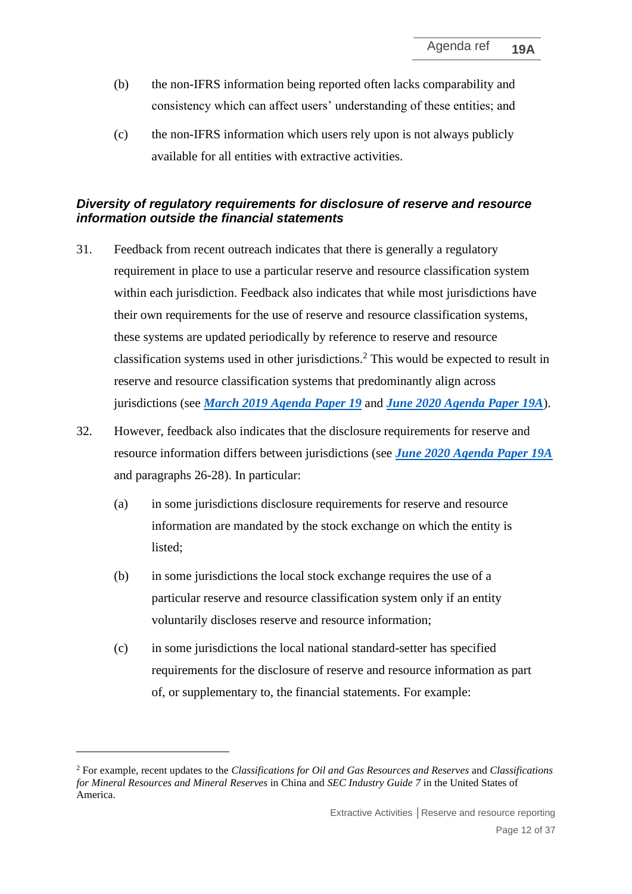- (b) the non-IFRS information being reported often lacks comparability and consistency which can affect users' understanding of these entities; and
- (c) the non-IFRS information which users rely upon is not always publicly available for all entities with extractive activities.

#### *Diversity of regulatory requirements for disclosure of reserve and resource information outside the financial statements*

- 31. Feedback from recent outreach indicates that there is generally a regulatory requirement in place to use a particular reserve and resource classification system within each jurisdiction. Feedback also indicates that while most jurisdictions have their own requirements for the use of reserve and resource classification systems, these systems are updated periodically by reference to reserve and resource classification systems used in other jurisdictions.<sup>2</sup> This would be expected to result in reserve and resource classification systems that predominantly align across jurisdictions (see *[March 2019 Agenda Paper 19](https://cdn.ifrs.org/-/media/feature/meetings/2019/march/iasb/ap19-extractive-activities.pdf)* and *[June 2020 Agenda Paper 19A](https://cdn.ifrs.org/-/media/feature/meetings/2020/june/iasb/ap19a-extractive-activities.pdf)*).
- 32. However, feedback also indicates that the disclosure requirements for reserve and resource information differs between jurisdictions (see *[June 2020 Agenda Paper 19A](https://cdn.ifrs.org/-/media/feature/meetings/2020/june/iasb/ap19a-extractive-activities.pdf)* and paragraphs 26-28). In particular:
	- (a) in some jurisdictions disclosure requirements for reserve and resource information are mandated by the stock exchange on which the entity is listed;
	- (b) in some jurisdictions the local stock exchange requires the use of a particular reserve and resource classification system only if an entity voluntarily discloses reserve and resource information;
	- (c) in some jurisdictions the local national standard-setter has specified requirements for the disclosure of reserve and resource information as part of, or supplementary to, the financial statements. For example:

<sup>2</sup> For example, recent updates to the *Classifications for Oil and Gas Resources and Reserves* and *Classifications for Mineral Resources and Mineral Reserves* in China and *SEC Industry Guide 7* in the United States of America.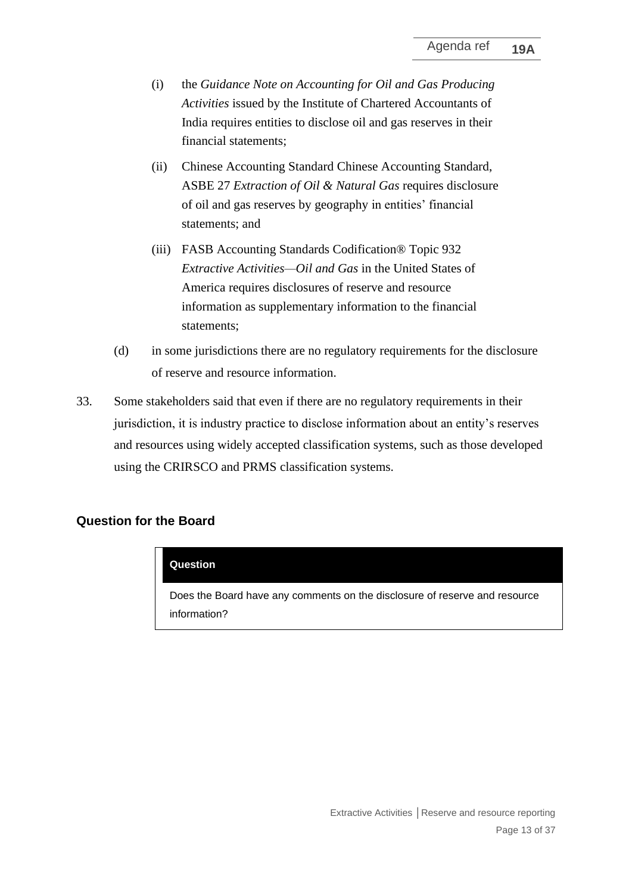- (i) the *Guidance Note on Accounting for Oil and Gas Producing Activities* issued by the Institute of Chartered Accountants of India requires entities to disclose oil and gas reserves in their financial statements;
- (ii) Chinese Accounting Standard Chinese Accounting Standard, ASBE 27 *Extraction of Oil & Natural Gas* requires disclosure of oil and gas reserves by geography in entities' financial statements; and
- (iii) FASB Accounting Standards Codification® Topic 932 *Extractive Activities—Oil and Gas* in the United States of America requires disclosures of reserve and resource information as supplementary information to the financial statements;
- (d) in some jurisdictions there are no regulatory requirements for the disclosure of reserve and resource information.
- 33. Some stakeholders said that even if there are no regulatory requirements in their jurisdiction, it is industry practice to disclose information about an entity's reserves and resources using widely accepted classification systems, such as those developed using the CRIRSCO and PRMS classification systems.

#### **Question for the Board**

#### **Question**

Does the Board have any comments on the disclosure of reserve and resource information?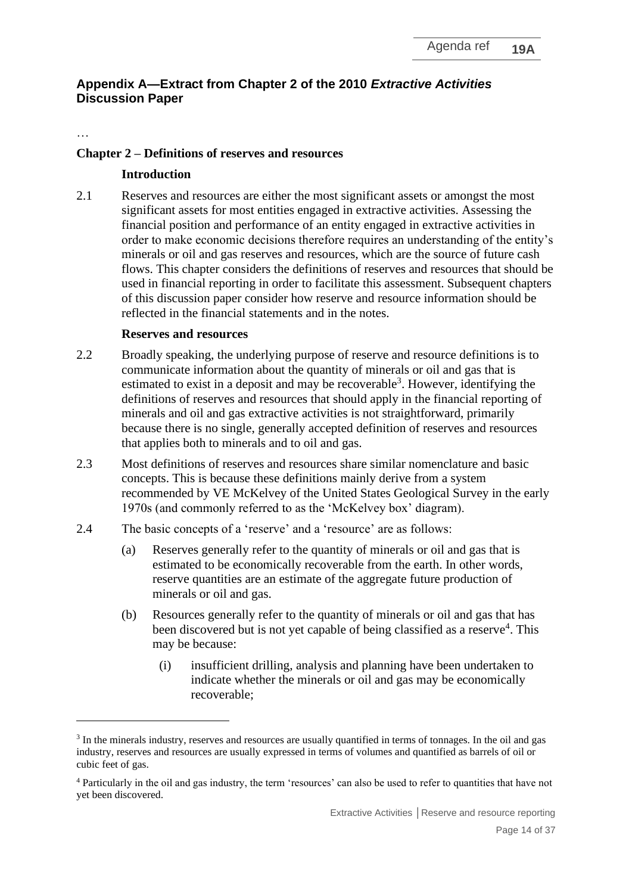## **Appendix A—Extract from Chapter 2 of the 2010** *Extractive Activities* **Discussion Paper**

…

#### **Chapter 2 – Definitions of reserves and resources**

#### **Introduction**

2.1 Reserves and resources are either the most significant assets or amongst the most significant assets for most entities engaged in extractive activities. Assessing the financial position and performance of an entity engaged in extractive activities in order to make economic decisions therefore requires an understanding of the entity's minerals or oil and gas reserves and resources, which are the source of future cash flows. This chapter considers the definitions of reserves and resources that should be used in financial reporting in order to facilitate this assessment. Subsequent chapters of this discussion paper consider how reserve and resource information should be reflected in the financial statements and in the notes.

#### **Reserves and resources**

- 2.2 Broadly speaking, the underlying purpose of reserve and resource definitions is to communicate information about the quantity of minerals or oil and gas that is estimated to exist in a deposit and may be recoverable<sup>3</sup>. However, identifying the definitions of reserves and resources that should apply in the financial reporting of minerals and oil and gas extractive activities is not straightforward, primarily because there is no single, generally accepted definition of reserves and resources that applies both to minerals and to oil and gas.
- 2.3 Most definitions of reserves and resources share similar nomenclature and basic concepts. This is because these definitions mainly derive from a system recommended by VE McKelvey of the United States Geological Survey in the early 1970s (and commonly referred to as the 'McKelvey box' diagram).
- 2.4 The basic concepts of a 'reserve' and a 'resource' are as follows:
	- (a) Reserves generally refer to the quantity of minerals or oil and gas that is estimated to be economically recoverable from the earth. In other words, reserve quantities are an estimate of the aggregate future production of minerals or oil and gas.
	- (b) Resources generally refer to the quantity of minerals or oil and gas that has been discovered but is not yet capable of being classified as a reserve<sup>4</sup>. This may be because:
		- (i) insufficient drilling, analysis and planning have been undertaken to indicate whether the minerals or oil and gas may be economically recoverable;

<sup>&</sup>lt;sup>3</sup> In the minerals industry, reserves and resources are usually quantified in terms of tonnages. In the oil and gas industry, reserves and resources are usually expressed in terms of volumes and quantified as barrels of oil or cubic feet of gas.

<sup>4</sup> Particularly in the oil and gas industry, the term 'resources' can also be used to refer to quantities that have not yet been discovered.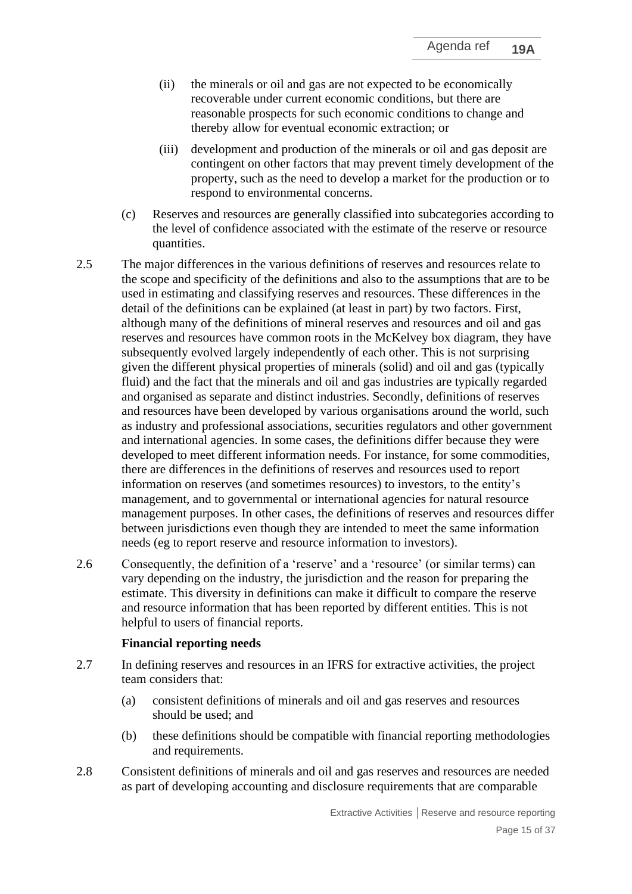- (ii) the minerals or oil and gas are not expected to be economically recoverable under current economic conditions, but there are reasonable prospects for such economic conditions to change and thereby allow for eventual economic extraction; or
- (iii) development and production of the minerals or oil and gas deposit are contingent on other factors that may prevent timely development of the property, such as the need to develop a market for the production or to respond to environmental concerns.
- (c) Reserves and resources are generally classified into subcategories according to the level of confidence associated with the estimate of the reserve or resource quantities.
- 2.5 The major differences in the various definitions of reserves and resources relate to the scope and specificity of the definitions and also to the assumptions that are to be used in estimating and classifying reserves and resources. These differences in the detail of the definitions can be explained (at least in part) by two factors. First, although many of the definitions of mineral reserves and resources and oil and gas reserves and resources have common roots in the McKelvey box diagram, they have subsequently evolved largely independently of each other. This is not surprising given the different physical properties of minerals (solid) and oil and gas (typically fluid) and the fact that the minerals and oil and gas industries are typically regarded and organised as separate and distinct industries. Secondly, definitions of reserves and resources have been developed by various organisations around the world, such as industry and professional associations, securities regulators and other government and international agencies. In some cases, the definitions differ because they were developed to meet different information needs. For instance, for some commodities, there are differences in the definitions of reserves and resources used to report information on reserves (and sometimes resources) to investors, to the entity's management, and to governmental or international agencies for natural resource management purposes. In other cases, the definitions of reserves and resources differ between jurisdictions even though they are intended to meet the same information needs (eg to report reserve and resource information to investors).
- 2.6 Consequently, the definition of a 'reserve' and a 'resource' (or similar terms) can vary depending on the industry, the jurisdiction and the reason for preparing the estimate. This diversity in definitions can make it difficult to compare the reserve and resource information that has been reported by different entities. This is not helpful to users of financial reports.

#### **Financial reporting needs**

- 2.7 In defining reserves and resources in an IFRS for extractive activities, the project team considers that:
	- (a) consistent definitions of minerals and oil and gas reserves and resources should be used; and
	- (b) these definitions should be compatible with financial reporting methodologies and requirements.
- 2.8 Consistent definitions of minerals and oil and gas reserves and resources are needed as part of developing accounting and disclosure requirements that are comparable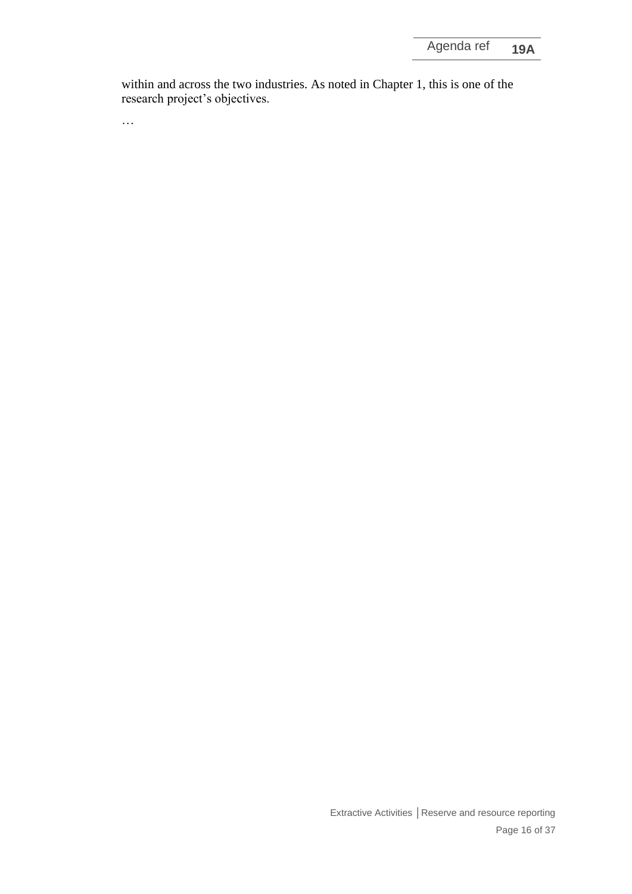within and across the two industries. As noted in Chapter 1, this is one of the research project's objectives.

…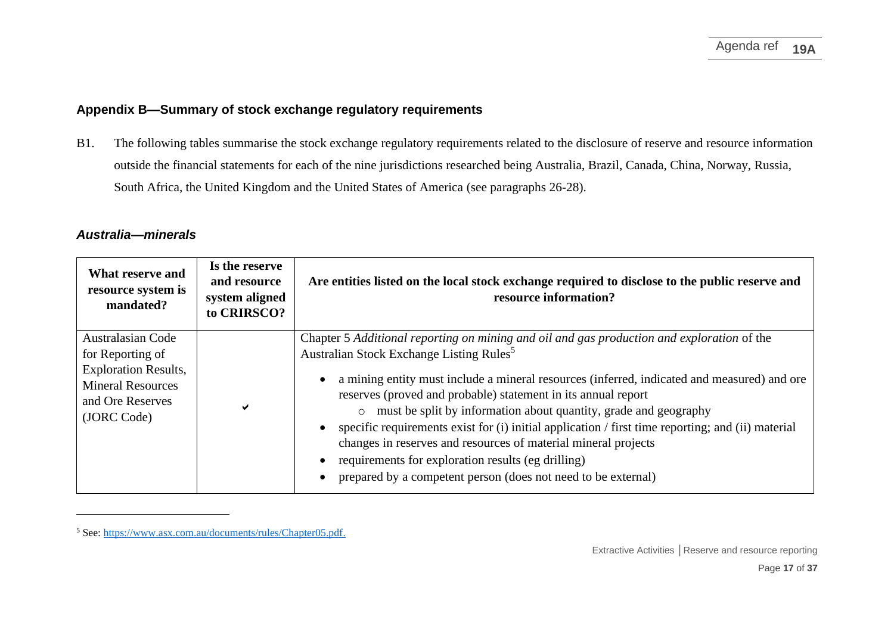#### **Appendix B—Summary of stock exchange regulatory requirements**

B1. The following tables summarise the stock exchange regulatory requirements related to the disclosure of reserve and resource information outside the financial statements for each of the nine jurisdictions researched being Australia, Brazil, Canada, China, Norway, Russia, South Africa, the United Kingdom and the United States of America (see paragraphs 26-28).

#### *Australia—minerals*

| What reserve and<br>resource system is<br>mandated?                                                                                        | Is the reserve<br>and resource<br>system aligned<br>to CRIRSCO? | Are entities listed on the local stock exchange required to disclose to the public reserve and<br>resource information?                                                                                                                                                                                                                                                                                                                                                                                                                                                                                                                                                                |
|--------------------------------------------------------------------------------------------------------------------------------------------|-----------------------------------------------------------------|----------------------------------------------------------------------------------------------------------------------------------------------------------------------------------------------------------------------------------------------------------------------------------------------------------------------------------------------------------------------------------------------------------------------------------------------------------------------------------------------------------------------------------------------------------------------------------------------------------------------------------------------------------------------------------------|
| <b>Australasian Code</b><br>for Reporting of<br><b>Exploration Results,</b><br><b>Mineral Resources</b><br>and Ore Reserves<br>(JORC Code) |                                                                 | Chapter 5 Additional reporting on mining and oil and gas production and exploration of the<br>Australian Stock Exchange Listing Rules <sup>5</sup><br>a mining entity must include a mineral resources (inferred, indicated and measured) and ore<br>reserves (proved and probable) statement in its annual report<br>o must be split by information about quantity, grade and geography<br>specific requirements exist for (i) initial application / first time reporting; and (ii) material<br>changes in reserves and resources of material mineral projects<br>requirements for exploration results (eg drilling)<br>prepared by a competent person (does not need to be external) |

<sup>5</sup> See: [https://www.asx.com.au/documents/rules/Chapter05.pdf.](https://www.asx.com.au/documents/rules/Chapter05.pdf)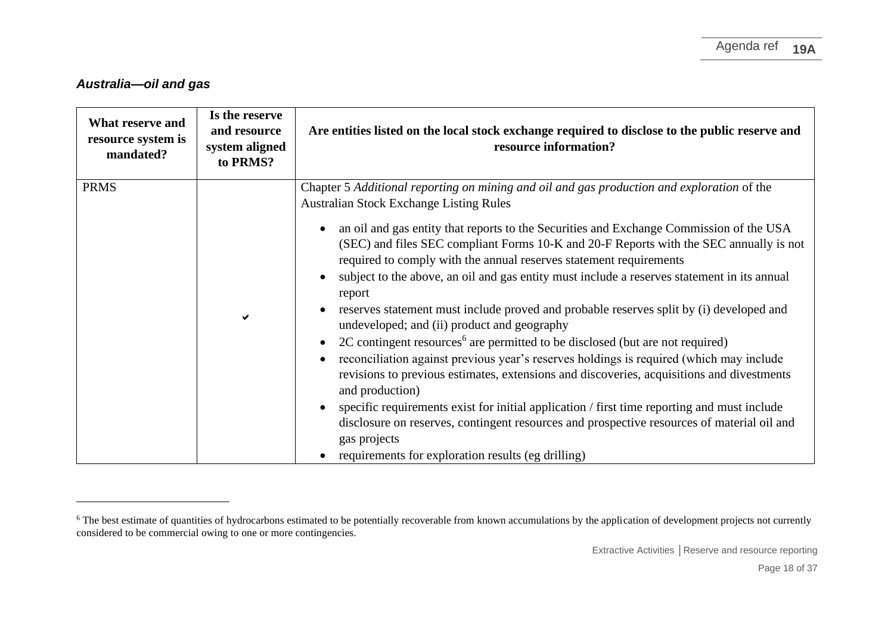#### *Australia—oil and gas*

| What reserve and<br>resource system is<br>mandated? | Is the reserve<br>and resource<br>system aligned<br>to PRMS? | Are entities listed on the local stock exchange required to disclose to the public reserve and<br>resource information?                                                                                                                                                                                                                                                                                                                                                                                                                                                                                                                                                                                                                                                                                                                                                                                                                                                                                                                                                                                                                                                                                                               |
|-----------------------------------------------------|--------------------------------------------------------------|---------------------------------------------------------------------------------------------------------------------------------------------------------------------------------------------------------------------------------------------------------------------------------------------------------------------------------------------------------------------------------------------------------------------------------------------------------------------------------------------------------------------------------------------------------------------------------------------------------------------------------------------------------------------------------------------------------------------------------------------------------------------------------------------------------------------------------------------------------------------------------------------------------------------------------------------------------------------------------------------------------------------------------------------------------------------------------------------------------------------------------------------------------------------------------------------------------------------------------------|
| <b>PRMS</b>                                         | ✔                                                            | Chapter 5 Additional reporting on mining and oil and gas production and exploration of the<br><b>Australian Stock Exchange Listing Rules</b><br>an oil and gas entity that reports to the Securities and Exchange Commission of the USA<br>(SEC) and files SEC compliant Forms 10-K and 20-F Reports with the SEC annually is not<br>required to comply with the annual reserves statement requirements<br>subject to the above, an oil and gas entity must include a reserves statement in its annual<br>report<br>reserves statement must include proved and probable reserves split by (i) developed and<br>undeveloped; and (ii) product and geography<br>2C contingent resources <sup>6</sup> are permitted to be disclosed (but are not required)<br>reconciliation against previous year's reserves holdings is required (which may include<br>revisions to previous estimates, extensions and discoveries, acquisitions and divestments<br>and production)<br>specific requirements exist for initial application / first time reporting and must include<br>disclosure on reserves, contingent resources and prospective resources of material oil and<br>gas projects<br>requirements for exploration results (eg drilling) |

<sup>&</sup>lt;sup>6</sup> The best estimate of quantities of hydrocarbons estimated to be potentially recoverable from known accumulations by the application of development projects not currently considered to be commercial owing to one or more contingencies.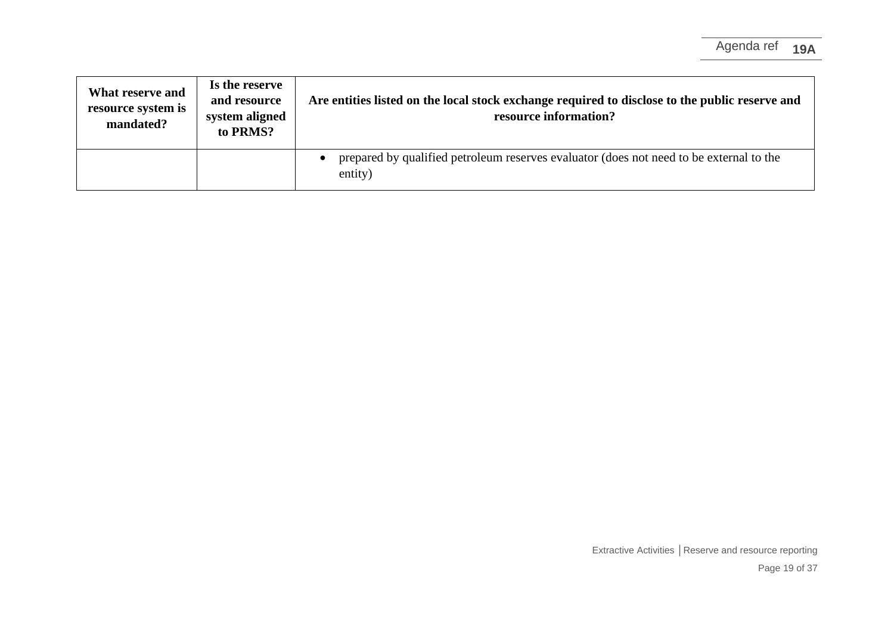| What reserve and<br>resource system is<br>mandated? | Is the reserve<br>and resource<br>system aligned<br>to PRMS? | Are entities listed on the local stock exchange required to disclose to the public reserve and<br>resource information? |
|-----------------------------------------------------|--------------------------------------------------------------|-------------------------------------------------------------------------------------------------------------------------|
|                                                     |                                                              | prepared by qualified petroleum reserves evaluator (does not need to be external to the<br>entity)                      |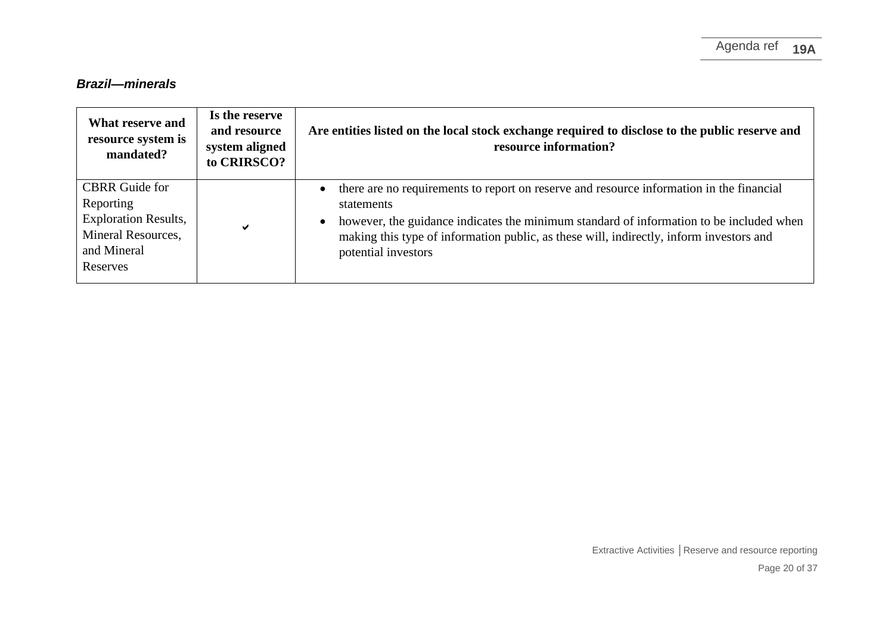# *Brazil—minerals*

| What reserve and<br>resource system is<br>mandated?                                                                | Is the reserve<br>and resource<br>system aligned<br>to CRIRSCO? | Are entities listed on the local stock exchange required to disclose to the public reserve and<br>resource information?                                                                                                                                                                                             |
|--------------------------------------------------------------------------------------------------------------------|-----------------------------------------------------------------|---------------------------------------------------------------------------------------------------------------------------------------------------------------------------------------------------------------------------------------------------------------------------------------------------------------------|
| <b>CBRR</b> Guide for<br>Reporting<br><b>Exploration Results,</b><br>Mineral Resources,<br>and Mineral<br>Reserves | ✔                                                               | there are no requirements to report on reserve and resource information in the financial<br>statements<br>however, the guidance indicates the minimum standard of information to be included when<br>making this type of information public, as these will, indirectly, inform investors and<br>potential investors |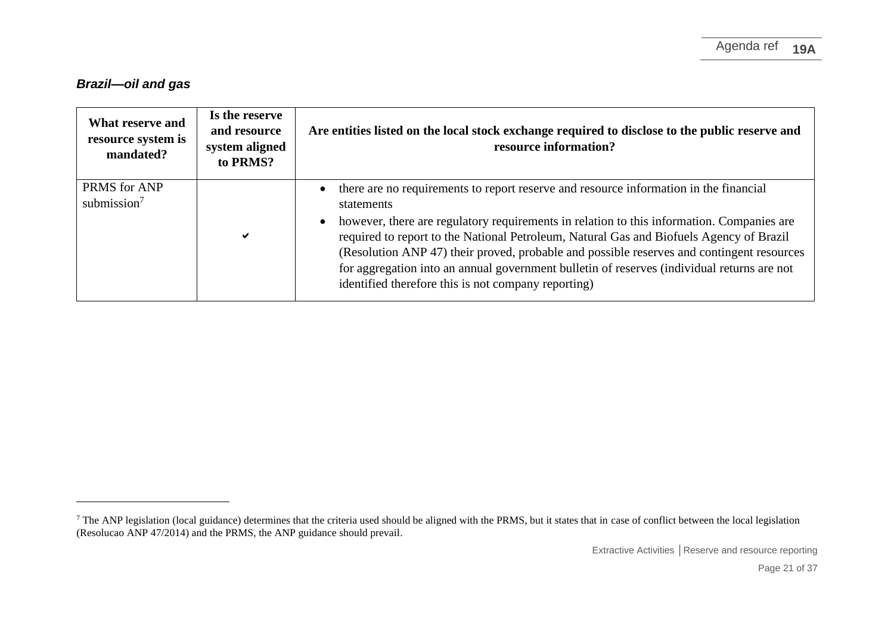## *Brazil—oil and gas*

| What reserve and<br>resource system is<br>mandated? | Is the reserve<br>and resource<br>system aligned<br>to PRMS? | Are entities listed on the local stock exchange required to disclose to the public reserve and<br>resource information?                                                                                                                                                                                                                                                                                                                                                                                                                       |
|-----------------------------------------------------|--------------------------------------------------------------|-----------------------------------------------------------------------------------------------------------------------------------------------------------------------------------------------------------------------------------------------------------------------------------------------------------------------------------------------------------------------------------------------------------------------------------------------------------------------------------------------------------------------------------------------|
| PRMS for ANP<br>submission $7$                      | ✔                                                            | there are no requirements to report reserve and resource information in the financial<br>statements<br>however, there are regulatory requirements in relation to this information. Companies are<br>required to report to the National Petroleum, Natural Gas and Biofuels Agency of Brazil<br>(Resolution ANP 47) their proved, probable and possible reserves and contingent resources<br>for aggregation into an annual government bulletin of reserves (individual returns are not<br>identified therefore this is not company reporting) |

<sup>&</sup>lt;sup>7</sup> The ANP legislation (local guidance) determines that the criteria used should be aligned with the PRMS, but it states that in case of conflict between the local legislation (Resolucao ANP 47/2014) and the PRMS, the ANP guidance should prevail.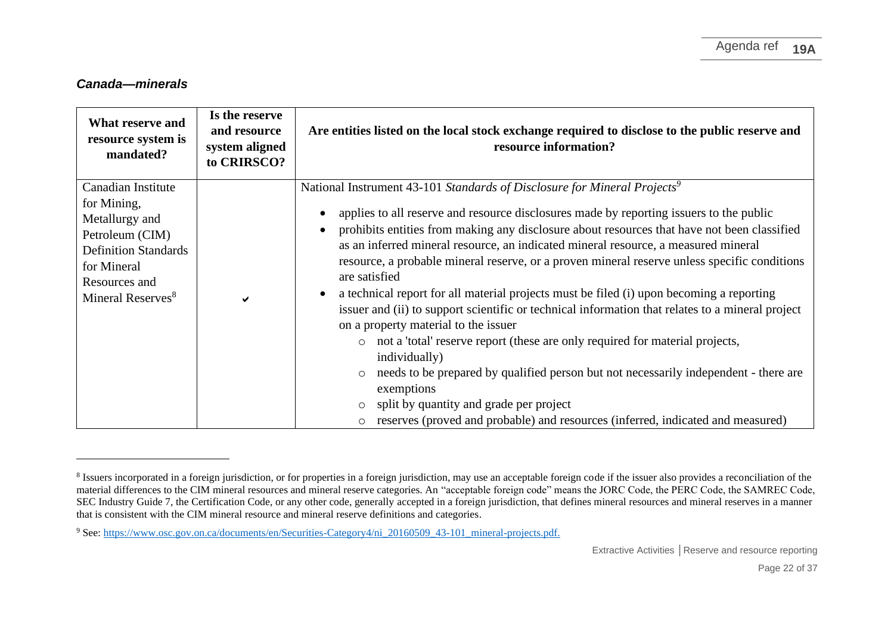#### *Canada—minerals*

| What reserve and<br>resource system is<br>mandated?                                                                                                                    | Is the reserve<br>and resource<br>system aligned<br>to CRIRSCO? | Are entities listed on the local stock exchange required to disclose to the public reserve and<br>resource information?                                                                                                                                                                                                                                                                                                                                                                                                                                                                                                                                                                                                                                                                                                                                                                                                                                                                                                                                                                  |
|------------------------------------------------------------------------------------------------------------------------------------------------------------------------|-----------------------------------------------------------------|------------------------------------------------------------------------------------------------------------------------------------------------------------------------------------------------------------------------------------------------------------------------------------------------------------------------------------------------------------------------------------------------------------------------------------------------------------------------------------------------------------------------------------------------------------------------------------------------------------------------------------------------------------------------------------------------------------------------------------------------------------------------------------------------------------------------------------------------------------------------------------------------------------------------------------------------------------------------------------------------------------------------------------------------------------------------------------------|
| Canadian Institute<br>for Mining,<br>Metallurgy and<br>Petroleum (CIM)<br><b>Definition Standards</b><br>for Mineral<br>Resources and<br>Mineral Reserves <sup>8</sup> | ✔                                                               | National Instrument 43-101 Standards of Disclosure for Mineral Projects <sup>9</sup><br>applies to all reserve and resource disclosures made by reporting issuers to the public<br>prohibits entities from making any disclosure about resources that have not been classified<br>as an inferred mineral resource, an indicated mineral resource, a measured mineral<br>resource, a probable mineral reserve, or a proven mineral reserve unless specific conditions<br>are satisfied<br>a technical report for all material projects must be filed (i) upon becoming a reporting<br>issuer and (ii) to support scientific or technical information that relates to a mineral project<br>on a property material to the issuer<br>not a 'total' reserve report (these are only required for material projects,<br>$\circ$<br>individually)<br>needs to be prepared by qualified person but not necessarily independent - there are<br>exemptions<br>split by quantity and grade per project<br>$\circ$<br>reserves (proved and probable) and resources (inferred, indicated and measured) |

<sup>&</sup>lt;sup>8</sup> Issuers incorporated in a foreign jurisdiction, or for properties in a foreign jurisdiction, may use an acceptable foreign code if the issuer also provides a reconciliation of the material differences to the CIM mineral resources and mineral reserve categories. An "acceptable foreign code" means the JORC Code, the PERC Code, the SAMREC Code, SEC Industry Guide 7, the Certification Code, or any other code, generally accepted in a foreign jurisdiction, that defines mineral resources and mineral reserves in a manner that is consistent with the CIM mineral resource and mineral reserve definitions and categories.

<sup>&</sup>lt;sup>9</sup> See: [https://www.osc.gov.on.ca/documents/en/Securities-Category4/ni\\_20160509\\_43-101\\_mineral-projects.pdf.](https://www.osc.gov.on.ca/documents/en/Securities-Category4/ni_20160509_43-101_mineral-projects.pdf)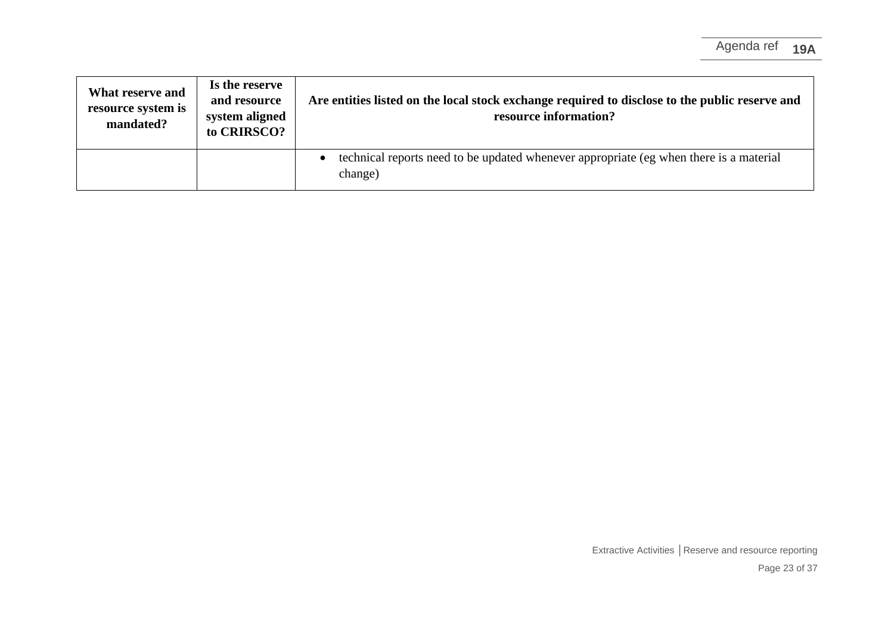| What reserve and<br>resource system is<br>mandated? | Is the reserve<br>and resource<br>system aligned<br>to CRIRSCO? | Are entities listed on the local stock exchange required to disclose to the public reserve and<br>resource information? |
|-----------------------------------------------------|-----------------------------------------------------------------|-------------------------------------------------------------------------------------------------------------------------|
|                                                     |                                                                 | technical reports need to be updated whenever appropriate (eg when there is a material<br>change)                       |

Extractive Activities **│**Reserve and resource reporting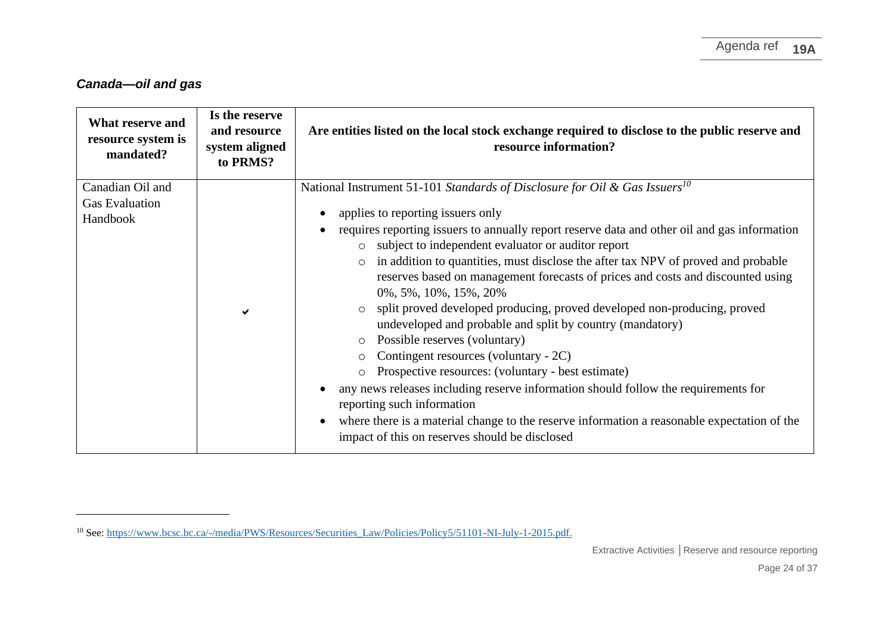# *Canada—oil and gas*

| <b>What reserve and</b><br>resource system is<br>mandated? | Is the reserve<br>and resource<br>system aligned<br>to PRMS? | Are entities listed on the local stock exchange required to disclose to the public reserve and<br>resource information?                                                                                                                                                                                                                                                                                                                                                                                                                                                                                                                                                |
|------------------------------------------------------------|--------------------------------------------------------------|------------------------------------------------------------------------------------------------------------------------------------------------------------------------------------------------------------------------------------------------------------------------------------------------------------------------------------------------------------------------------------------------------------------------------------------------------------------------------------------------------------------------------------------------------------------------------------------------------------------------------------------------------------------------|
| Canadian Oil and                                           |                                                              | National Instrument 51-101 Standards of Disclosure for Oil & Gas Issuers <sup>10</sup>                                                                                                                                                                                                                                                                                                                                                                                                                                                                                                                                                                                 |
| <b>Gas Evaluation</b><br>Handbook                          | ✔                                                            | applies to reporting issuers only<br>requires reporting issuers to annually report reserve data and other oil and gas information<br>$\bullet$<br>o subject to independent evaluator or auditor report<br>in addition to quantities, must disclose the after tax NPV of proved and probable<br>$\circ$<br>reserves based on management forecasts of prices and costs and discounted using<br>0%, 5%, 10%, 15%, 20%<br>split proved developed producing, proved developed non-producing, proved<br>$\circ$<br>undeveloped and probable and split by country (mandatory)<br>Possible reserves (voluntary)<br>$\circ$<br>Contingent resources (voluntary - 2C)<br>$\circ$ |
|                                                            |                                                              | Prospective resources: (voluntary - best estimate)<br>any news releases including reserve information should follow the requirements for<br>reporting such information<br>where there is a material change to the reserve information a reasonable expectation of the<br>impact of this on reserves should be disclosed                                                                                                                                                                                                                                                                                                                                                |

<sup>&</sup>lt;sup>10</sup> See[: https://www.bcsc.bc.ca/-/media/PWS/Resources/Securities\\_Law/Policies/Policy5/51101-NI-July-1-2015.pdf.](https://www.bcsc.bc.ca/-/media/PWS/Resources/Securities_Law/Policies/Policy5/51101-NI-July-1-2015.pdf)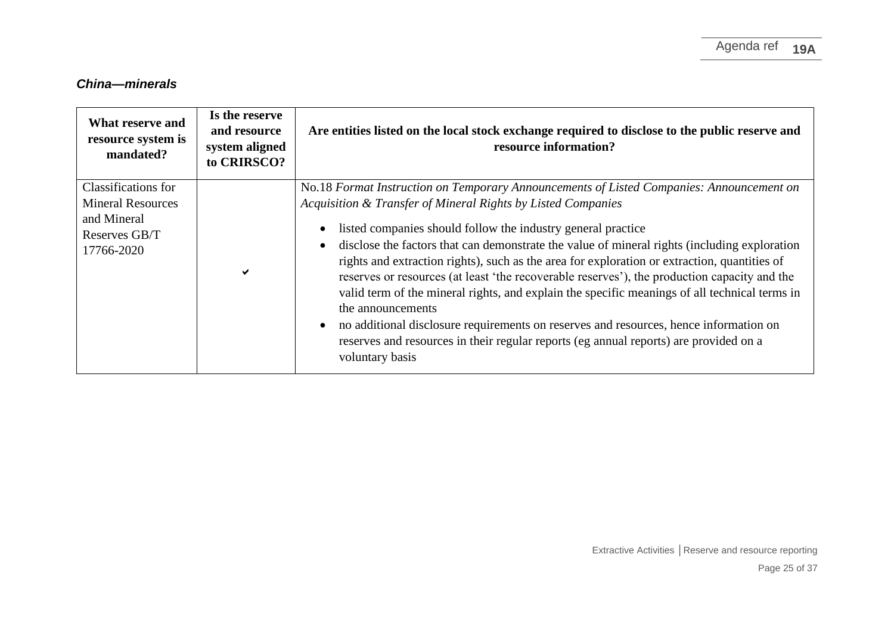# *China—minerals*

| What reserve and<br>resource system is<br>mandated?                                           | Is the reserve<br>and resource<br>system aligned<br>to CRIRSCO? | Are entities listed on the local stock exchange required to disclose to the public reserve and<br>resource information?                                                                                                                                                                                                                                                                                                                                                                                                                                                                                                                                                                                                                                                                                                                             |
|-----------------------------------------------------------------------------------------------|-----------------------------------------------------------------|-----------------------------------------------------------------------------------------------------------------------------------------------------------------------------------------------------------------------------------------------------------------------------------------------------------------------------------------------------------------------------------------------------------------------------------------------------------------------------------------------------------------------------------------------------------------------------------------------------------------------------------------------------------------------------------------------------------------------------------------------------------------------------------------------------------------------------------------------------|
| Classifications for<br><b>Mineral Resources</b><br>and Mineral<br>Reserves GB/T<br>17766-2020 | ✔                                                               | No.18 Format Instruction on Temporary Announcements of Listed Companies: Announcement on<br>Acquisition & Transfer of Mineral Rights by Listed Companies<br>listed companies should follow the industry general practice<br>disclose the factors that can demonstrate the value of mineral rights (including exploration<br>rights and extraction rights), such as the area for exploration or extraction, quantities of<br>reserves or resources (at least 'the recoverable reserves'), the production capacity and the<br>valid term of the mineral rights, and explain the specific meanings of all technical terms in<br>the announcements<br>no additional disclosure requirements on reserves and resources, hence information on<br>reserves and resources in their regular reports (eg annual reports) are provided on a<br>voluntary basis |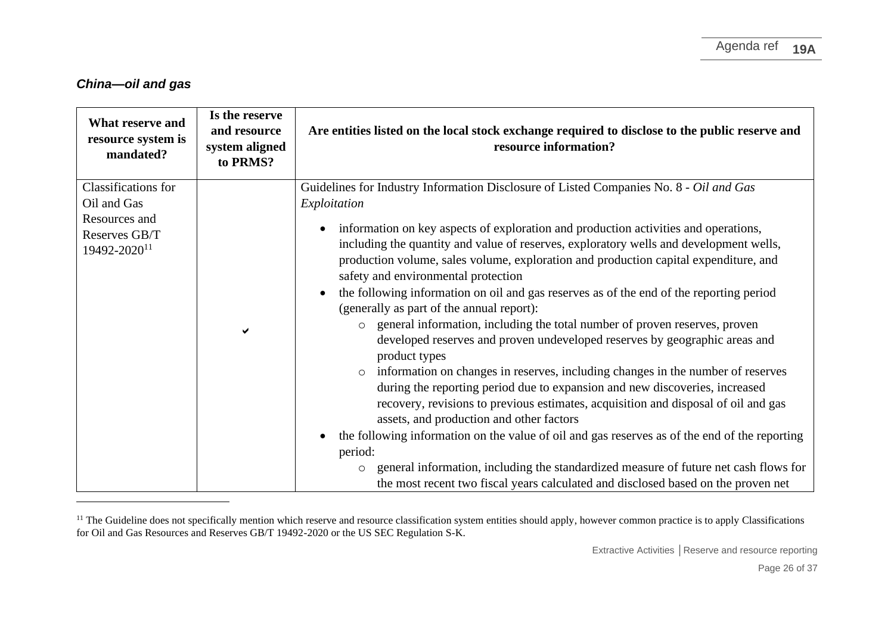#### *China—oil and gas*

| What reserve and<br>resource system is<br>mandated?                                              | Is the reserve<br>and resource<br>system aligned<br>to PRMS? | Are entities listed on the local stock exchange required to disclose to the public reserve and<br>resource information?                                                                                                                                                                                                                                                                                                                                                                                                                                                                                                                                                                                                                                                                                                                                                                                                                                                                                                                                                                                                                                                                                                                                                                                                                                                       |
|--------------------------------------------------------------------------------------------------|--------------------------------------------------------------|-------------------------------------------------------------------------------------------------------------------------------------------------------------------------------------------------------------------------------------------------------------------------------------------------------------------------------------------------------------------------------------------------------------------------------------------------------------------------------------------------------------------------------------------------------------------------------------------------------------------------------------------------------------------------------------------------------------------------------------------------------------------------------------------------------------------------------------------------------------------------------------------------------------------------------------------------------------------------------------------------------------------------------------------------------------------------------------------------------------------------------------------------------------------------------------------------------------------------------------------------------------------------------------------------------------------------------------------------------------------------------|
| Classifications for<br>Oil and Gas<br>Resources and<br>Reserves GB/T<br>19492-2020 <sup>11</sup> | ✔                                                            | Guidelines for Industry Information Disclosure of Listed Companies No. 8 - Oil and Gas<br>Exploitation<br>information on key aspects of exploration and production activities and operations,<br>$\bullet$<br>including the quantity and value of reserves, exploratory wells and development wells,<br>production volume, sales volume, exploration and production capital expenditure, and<br>safety and environmental protection<br>the following information on oil and gas reserves as of the end of the reporting period<br>(generally as part of the annual report):<br>general information, including the total number of proven reserves, proven<br>$\circ$<br>developed reserves and proven undeveloped reserves by geographic areas and<br>product types<br>o information on changes in reserves, including changes in the number of reserves<br>during the reporting period due to expansion and new discoveries, increased<br>recovery, revisions to previous estimates, acquisition and disposal of oil and gas<br>assets, and production and other factors<br>the following information on the value of oil and gas reserves as of the end of the reporting<br>period:<br>general information, including the standardized measure of future net cash flows for<br>$\circ$<br>the most recent two fiscal years calculated and disclosed based on the proven net |

<sup>&</sup>lt;sup>11</sup> The Guideline does not specifically mention which reserve and resource classification system entities should apply, however common practice is to apply Classifications for Oil and Gas Resources and Reserves GB/T 19492-2020 or the US SEC Regulation S-K.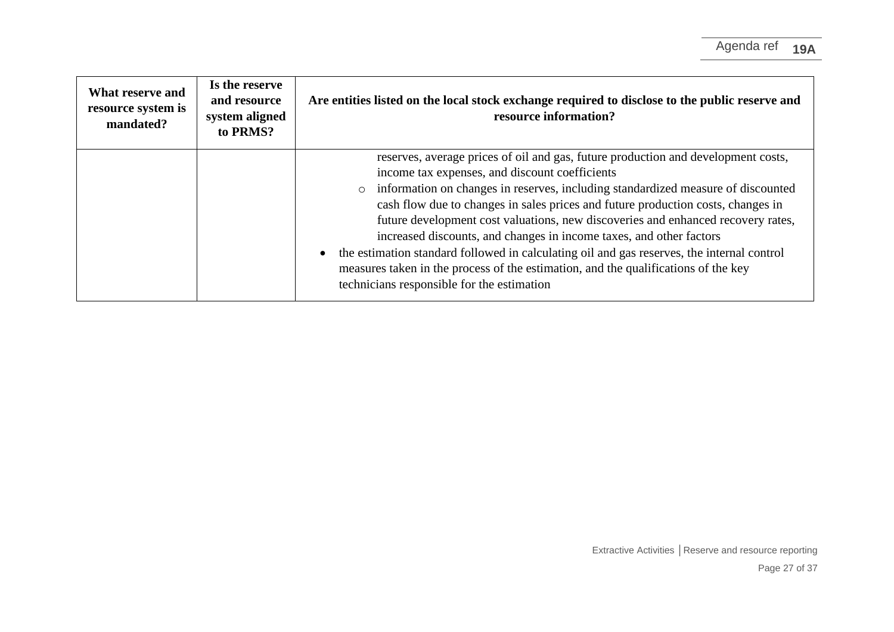| What reserve and<br>resource system is<br>mandated? | Is the reserve<br>and resource<br>system aligned<br>to PRMS? | Are entities listed on the local stock exchange required to disclose to the public reserve and<br>resource information?                                                                                                                                                                                                                                                                                                                                                                                                                                                                                                                                                                                  |
|-----------------------------------------------------|--------------------------------------------------------------|----------------------------------------------------------------------------------------------------------------------------------------------------------------------------------------------------------------------------------------------------------------------------------------------------------------------------------------------------------------------------------------------------------------------------------------------------------------------------------------------------------------------------------------------------------------------------------------------------------------------------------------------------------------------------------------------------------|
|                                                     |                                                              | reserves, average prices of oil and gas, future production and development costs,<br>income tax expenses, and discount coefficients<br>information on changes in reserves, including standardized measure of discounted<br>cash flow due to changes in sales prices and future production costs, changes in<br>future development cost valuations, new discoveries and enhanced recovery rates,<br>increased discounts, and changes in income taxes, and other factors<br>the estimation standard followed in calculating oil and gas reserves, the internal control<br>measures taken in the process of the estimation, and the qualifications of the key<br>technicians responsible for the estimation |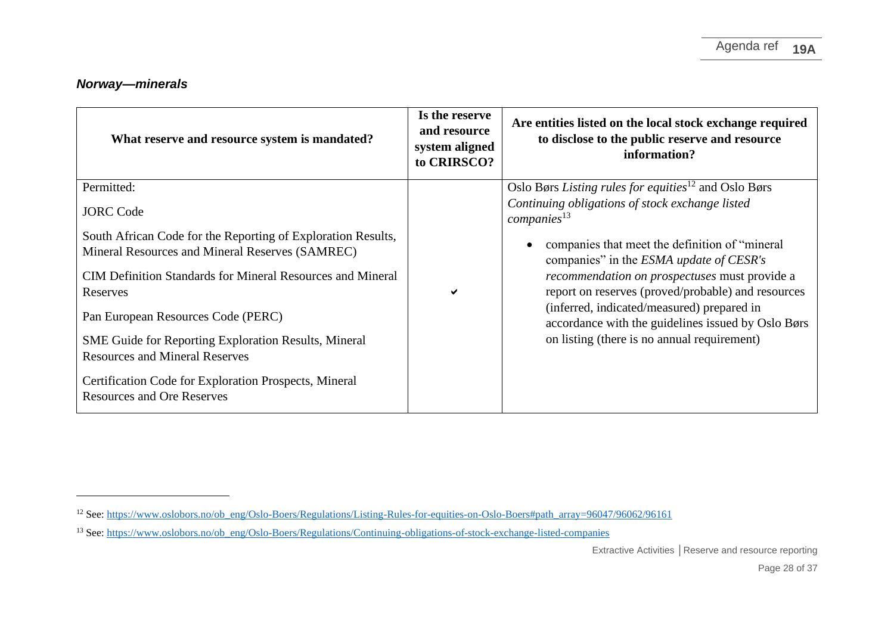## *Norway—minerals*

| What reserve and resource system is mandated?                                              | Is the reserve<br>and resource<br>system aligned<br>to CRIRSCO? | Are entities listed on the local stock exchange required<br>to disclose to the public reserve and resource<br>information? |
|--------------------------------------------------------------------------------------------|-----------------------------------------------------------------|----------------------------------------------------------------------------------------------------------------------------|
| Permitted:                                                                                 |                                                                 | Oslo Børs Listing rules for equities <sup>12</sup> and Oslo Børs                                                           |
| <b>JORC</b> Code                                                                           |                                                                 | Continuing obligations of stock exchange listed<br>companies <sup>13</sup>                                                 |
| South African Code for the Reporting of Exploration Results,                               |                                                                 |                                                                                                                            |
| Mineral Resources and Mineral Reserves (SAMREC)                                            |                                                                 | companies that meet the definition of "mineral"<br>companies" in the ESMA update of CESR's                                 |
| <b>CIM Definition Standards for Mineral Resources and Mineral</b>                          |                                                                 | <i>recommendation on prospectuses</i> must provide a                                                                       |
| Reserves                                                                                   | ✔                                                               | report on reserves (proved/probable) and resources                                                                         |
| Pan European Resources Code (PERC)                                                         |                                                                 | (inferred, indicated/measured) prepared in<br>accordance with the guidelines issued by Oslo Børs                           |
| SME Guide for Reporting Exploration Results, Mineral                                       |                                                                 | on listing (there is no annual requirement)                                                                                |
| <b>Resources and Mineral Reserves</b>                                                      |                                                                 |                                                                                                                            |
| Certification Code for Exploration Prospects, Mineral<br><b>Resources and Ore Reserves</b> |                                                                 |                                                                                                                            |

<sup>&</sup>lt;sup>12</sup> See[: https://www.oslobors.no/ob\\_eng/Oslo-Boers/Regulations/Listing-Rules-for-equities-on-Oslo-Boers#path\\_array=96047/96062/96161](https://www.oslobors.no/ob_eng/Oslo-Boers/Regulations/Listing-Rules-for-equities-on-Oslo-Boers#path_array=96047/96062/96161)

<sup>&</sup>lt;sup>13</sup> See[: https://www.oslobors.no/ob\\_eng/Oslo-Boers/Regulations/Continuing-obligations-of-stock-exchange-listed-companies](https://www.oslobors.no/ob_eng/Oslo-Boers/Regulations/Continuing-obligations-of-stock-exchange-listed-companies)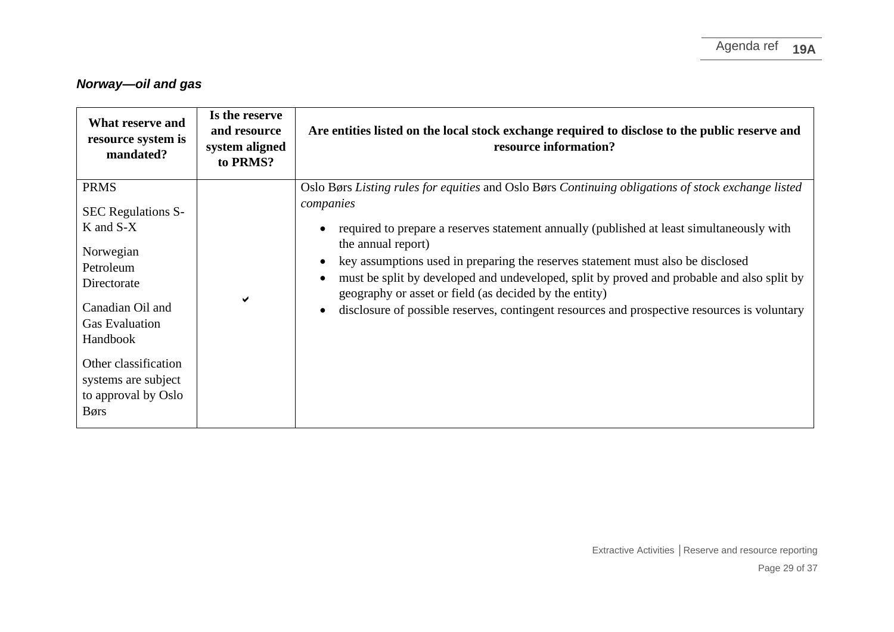# *Norway—oil and gas*

| What reserve and<br>resource system is<br>mandated?                                                                                                                                                                                               | Is the reserve<br>and resource<br>system aligned<br>to PRMS? | Are entities listed on the local stock exchange required to disclose to the public reserve and<br>resource information?                                                                                                                                                                                                                                                                                                                                                                                                                                                       |
|---------------------------------------------------------------------------------------------------------------------------------------------------------------------------------------------------------------------------------------------------|--------------------------------------------------------------|-------------------------------------------------------------------------------------------------------------------------------------------------------------------------------------------------------------------------------------------------------------------------------------------------------------------------------------------------------------------------------------------------------------------------------------------------------------------------------------------------------------------------------------------------------------------------------|
| <b>PRMS</b><br><b>SEC Regulations S-</b><br>$K$ and $S-X$<br>Norwegian<br>Petroleum<br>Directorate<br>Canadian Oil and<br><b>Gas Evaluation</b><br>Handbook<br>Other classification<br>systems are subject<br>to approval by Oslo<br><b>B</b> ørs |                                                              | Oslo Børs Listing rules for equities and Oslo Børs Continuing obligations of stock exchange listed<br>companies<br>required to prepare a reserves statement annually (published at least simultaneously with<br>the annual report)<br>key assumptions used in preparing the reserves statement must also be disclosed<br>must be split by developed and undeveloped, split by proved and probable and also split by<br>geography or asset or field (as decided by the entity)<br>disclosure of possible reserves, contingent resources and prospective resources is voluntary |

Extractive Activities **│**Reserve and resource reporting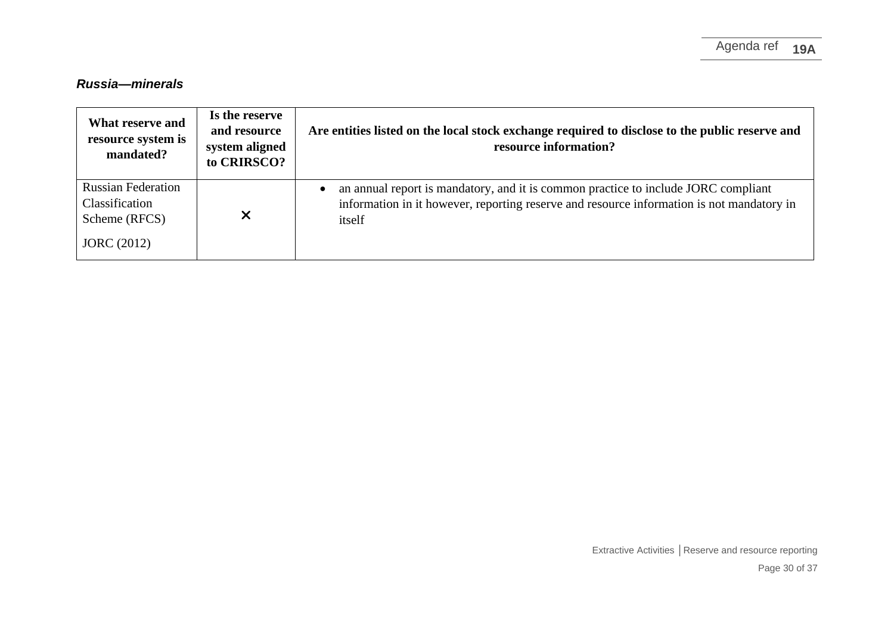## *Russia—minerals*

| What reserve and<br>resource system is<br>mandated?                                | Is the reserve<br>and resource<br>system aligned<br>to CRIRSCO? | Are entities listed on the local stock exchange required to disclose to the public reserve and<br>resource information?                                                                   |
|------------------------------------------------------------------------------------|-----------------------------------------------------------------|-------------------------------------------------------------------------------------------------------------------------------------------------------------------------------------------|
| <b>Russian Federation</b><br>Classification<br>Scheme (RFCS)<br><b>JORC</b> (2012) | X                                                               | an annual report is mandatory, and it is common practice to include JORC compliant<br>information in it however, reporting reserve and resource information is not mandatory in<br>itself |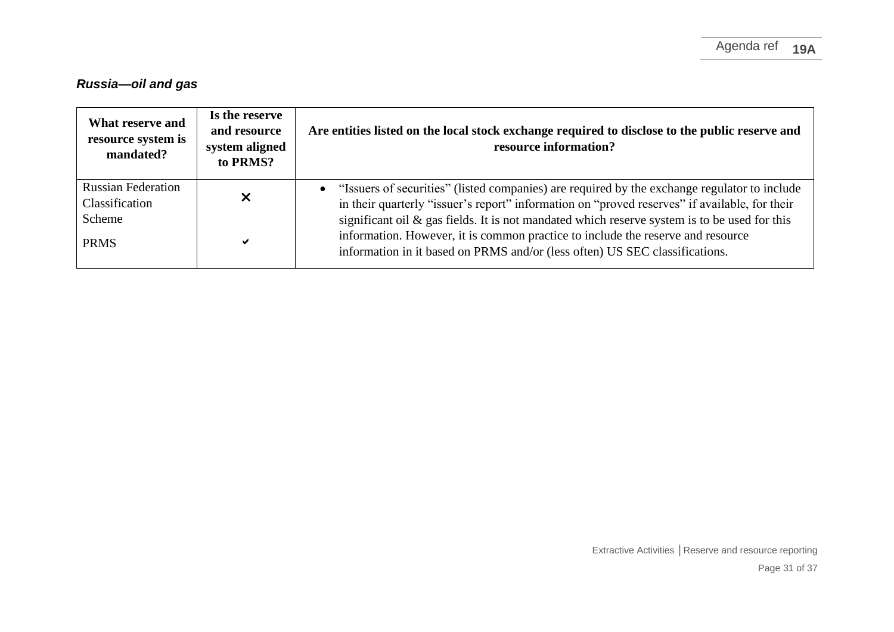# *Russia—oil and gas*

| What reserve and<br>resource system is<br>mandated? | Is the reserve<br>and resource<br>system aligned<br>to PRMS? | Are entities listed on the local stock exchange required to disclose to the public reserve and<br>resource information?                                                                                                                                           |
|-----------------------------------------------------|--------------------------------------------------------------|-------------------------------------------------------------------------------------------------------------------------------------------------------------------------------------------------------------------------------------------------------------------|
| <b>Russian Federation</b><br>Classification         |                                                              | • "Issuers of securities" (listed companies) are required by the exchange regulator to include<br>in their quarterly "issuer's report" information on "proved reserves" if available, for their                                                                   |
| Scheme<br><b>PRMS</b>                               | ✔                                                            | significant oil $\&$ gas fields. It is not mandated which reserve system is to be used for this<br>information. However, it is common practice to include the reserve and resource<br>information in it based on PRMS and/or (less often) US SEC classifications. |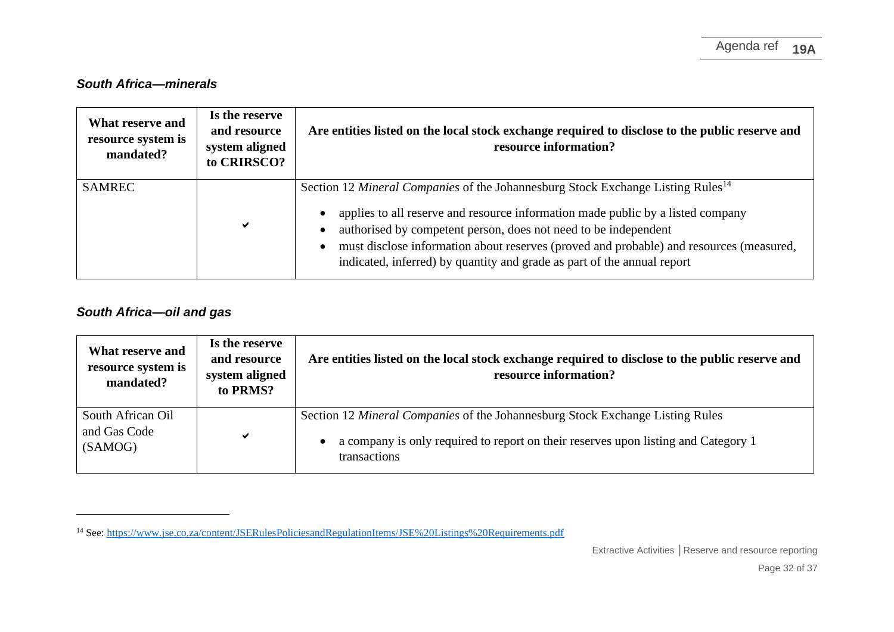### *South Africa—minerals*

| What reserve and<br>resource system is<br>mandated? | Is the reserve<br>and resource<br>system aligned<br>to CRIRSCO? | Are entities listed on the local stock exchange required to disclose to the public reserve and<br>resource information?                                                                                                                                                                                                                                                                                                 |
|-----------------------------------------------------|-----------------------------------------------------------------|-------------------------------------------------------------------------------------------------------------------------------------------------------------------------------------------------------------------------------------------------------------------------------------------------------------------------------------------------------------------------------------------------------------------------|
| <b>SAMREC</b>                                       | ✔                                                               | Section 12 Mineral Companies of the Johannesburg Stock Exchange Listing Rules <sup>14</sup><br>applies to all reserve and resource information made public by a listed company<br>authorised by competent person, does not need to be independent<br>must disclose information about reserves (proved and probable) and resources (measured,<br>indicated, inferred) by quantity and grade as part of the annual report |

#### *South Africa—oil and gas*

| What reserve and<br>resource system is<br>mandated? | Is the reserve<br>and resource<br>system aligned<br>to PRMS? | Are entities listed on the local stock exchange required to disclose to the public reserve and<br>resource information?                                                                           |
|-----------------------------------------------------|--------------------------------------------------------------|---------------------------------------------------------------------------------------------------------------------------------------------------------------------------------------------------|
| South African Oil<br>and Gas Code<br>(SAMOG)        | ✔                                                            | Section 12 <i>Mineral Companies</i> of the Johannesburg Stock Exchange Listing Rules<br>a company is only required to report on their reserves upon listing and Category 1<br><i>transactions</i> |

<sup>&</sup>lt;sup>14</sup> See[: https://www.jse.co.za/content/JSERulesPoliciesandRegulationItems/JSE%20Listings%20Requirements.pdf](https://www.jse.co.za/content/JSERulesPoliciesandRegulationItems/JSE%20Listings%20Requirements.pdf)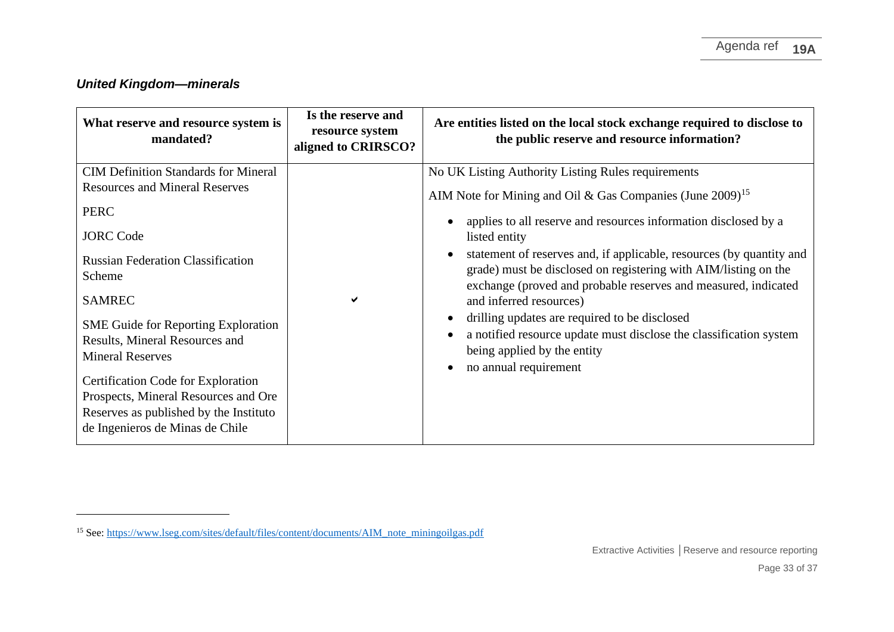# *United Kingdom—minerals*

| What reserve and resource system is<br>mandated?                                                                                                                                                                                                                                                                                                                                                                                                                     | Is the reserve and<br>resource system<br>aligned to CRIRSCO? | Are entities listed on the local stock exchange required to disclose to<br>the public reserve and resource information?                                                                                                                                                                                                                                                                                                                                                                                                                                                                                                                |
|----------------------------------------------------------------------------------------------------------------------------------------------------------------------------------------------------------------------------------------------------------------------------------------------------------------------------------------------------------------------------------------------------------------------------------------------------------------------|--------------------------------------------------------------|----------------------------------------------------------------------------------------------------------------------------------------------------------------------------------------------------------------------------------------------------------------------------------------------------------------------------------------------------------------------------------------------------------------------------------------------------------------------------------------------------------------------------------------------------------------------------------------------------------------------------------------|
| <b>CIM Definition Standards for Mineral</b><br><b>Resources and Mineral Reserves</b><br><b>PERC</b><br><b>JORC</b> Code<br><b>Russian Federation Classification</b><br>Scheme<br><b>SAMREC</b><br><b>SME Guide for Reporting Exploration</b><br>Results, Mineral Resources and<br><b>Mineral Reserves</b><br>Certification Code for Exploration<br>Prospects, Mineral Resources and Ore<br>Reserves as published by the Instituto<br>de Ingenieros de Minas de Chile | ✔                                                            | No UK Listing Authority Listing Rules requirements<br>AIM Note for Mining and Oil & Gas Companies (June 2009) <sup>15</sup><br>applies to all reserve and resources information disclosed by a<br>listed entity<br>statement of reserves and, if applicable, resources (by quantity and<br>grade) must be disclosed on registering with AIM/listing on the<br>exchange (proved and probable reserves and measured, indicated<br>and inferred resources)<br>drilling updates are required to be disclosed<br>a notified resource update must disclose the classification system<br>being applied by the entity<br>no annual requirement |

<sup>&</sup>lt;sup>15</sup> See[: https://www.lseg.com/sites/default/files/content/documents/AIM\\_note\\_miningoilgas.pdf](https://www.lseg.com/sites/default/files/content/documents/AIM_note_miningoilgas.pdf)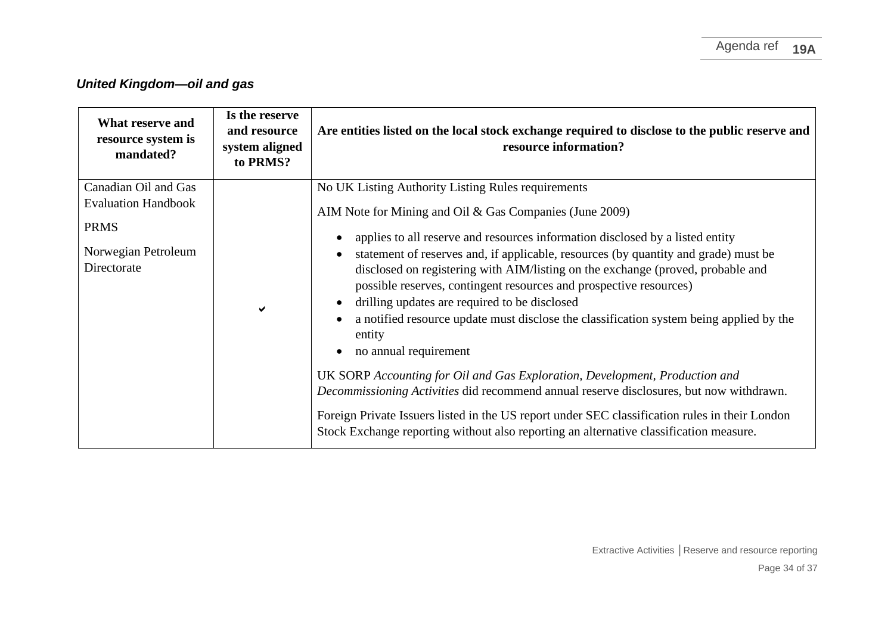# *United Kingdom—oil and gas*

| What reserve and<br>resource system is<br>mandated? | Is the reserve<br>and resource<br>system aligned<br>to PRMS? | Are entities listed on the local stock exchange required to disclose to the public reserve and<br>resource information?                                                                                                                                                                                                                                                                                                     |
|-----------------------------------------------------|--------------------------------------------------------------|-----------------------------------------------------------------------------------------------------------------------------------------------------------------------------------------------------------------------------------------------------------------------------------------------------------------------------------------------------------------------------------------------------------------------------|
| Canadian Oil and Gas                                |                                                              | No UK Listing Authority Listing Rules requirements                                                                                                                                                                                                                                                                                                                                                                          |
| <b>Evaluation Handbook</b>                          |                                                              | AIM Note for Mining and Oil & Gas Companies (June 2009)                                                                                                                                                                                                                                                                                                                                                                     |
| <b>PRMS</b>                                         |                                                              | applies to all reserve and resources information disclosed by a listed entity                                                                                                                                                                                                                                                                                                                                               |
| Norwegian Petroleum<br>Directorate                  | ✔                                                            | statement of reserves and, if applicable, resources (by quantity and grade) must be<br>disclosed on registering with AIM/listing on the exchange (proved, probable and<br>possible reserves, contingent resources and prospective resources)<br>drilling updates are required to be disclosed<br>a notified resource update must disclose the classification system being applied by the<br>entity<br>no annual requirement |
|                                                     |                                                              | UK SORP Accounting for Oil and Gas Exploration, Development, Production and<br>Decommissioning Activities did recommend annual reserve disclosures, but now withdrawn.                                                                                                                                                                                                                                                      |
|                                                     |                                                              | Foreign Private Issuers listed in the US report under SEC classification rules in their London<br>Stock Exchange reporting without also reporting an alternative classification measure.                                                                                                                                                                                                                                    |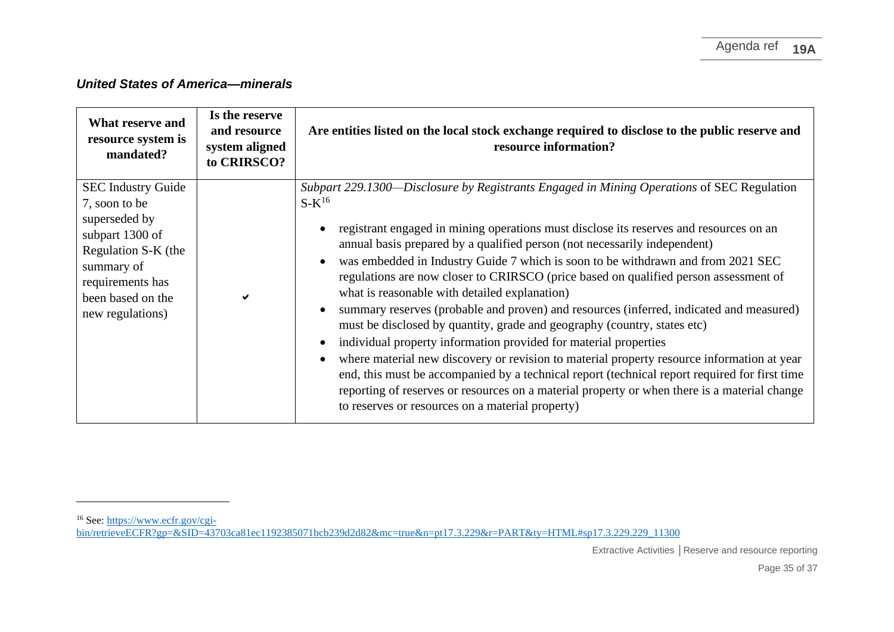## *United States of America—minerals*

| What reserve and<br>resource system is<br>mandated?                                                                                                                              | Is the reserve<br>and resource<br>system aligned<br>to CRIRSCO? | Are entities listed on the local stock exchange required to disclose to the public reserve and<br>resource information?                                                                                                                                                                                                                                                                                                                                                                                                                                                                                                                                                                                                                                                                                                                                                                                                                                                                                                                                                                                   |
|----------------------------------------------------------------------------------------------------------------------------------------------------------------------------------|-----------------------------------------------------------------|-----------------------------------------------------------------------------------------------------------------------------------------------------------------------------------------------------------------------------------------------------------------------------------------------------------------------------------------------------------------------------------------------------------------------------------------------------------------------------------------------------------------------------------------------------------------------------------------------------------------------------------------------------------------------------------------------------------------------------------------------------------------------------------------------------------------------------------------------------------------------------------------------------------------------------------------------------------------------------------------------------------------------------------------------------------------------------------------------------------|
| <b>SEC Industry Guide</b><br>7, soon to be<br>superseded by<br>subpart 1300 of<br>Regulation S-K (the<br>summary of<br>requirements has<br>been based on the<br>new regulations) |                                                                 | Subpart 229.1300—Disclosure by Registrants Engaged in Mining Operations of SEC Regulation<br>$S-K^{16}$<br>registrant engaged in mining operations must disclose its reserves and resources on an<br>annual basis prepared by a qualified person (not necessarily independent)<br>was embedded in Industry Guide 7 which is soon to be withdrawn and from 2021 SEC<br>regulations are now closer to CRIRSCO (price based on qualified person assessment of<br>what is reasonable with detailed explanation)<br>summary reserves (probable and proven) and resources (inferred, indicated and measured)<br>must be disclosed by quantity, grade and geography (country, states etc)<br>individual property information provided for material properties<br>where material new discovery or revision to material property resource information at year<br>end, this must be accompanied by a technical report (technical report required for first time<br>reporting of reserves or resources on a material property or when there is a material change<br>to reserves or resources on a material property) |

<sup>&</sup>lt;sup>16</sup> See[: https://www.ecfr.gov/cgi-](https://www.ecfr.gov/cgi-bin/retrieveECFR?gp=&SID=43703ca81ec1192385071bcb239d2d82&mc=true&n=pt17.3.229&r=PART&ty=HTML#sp17.3.229.229_11300)

[bin/retrieveECFR?gp=&SID=43703ca81ec1192385071bcb239d2d82&mc=true&n=pt17.3.229&r=PART&ty=HTML#sp17.3.229.229\\_11300](https://www.ecfr.gov/cgi-bin/retrieveECFR?gp=&SID=43703ca81ec1192385071bcb239d2d82&mc=true&n=pt17.3.229&r=PART&ty=HTML#sp17.3.229.229_11300)

Extractive Activities **│**Reserve and resource reporting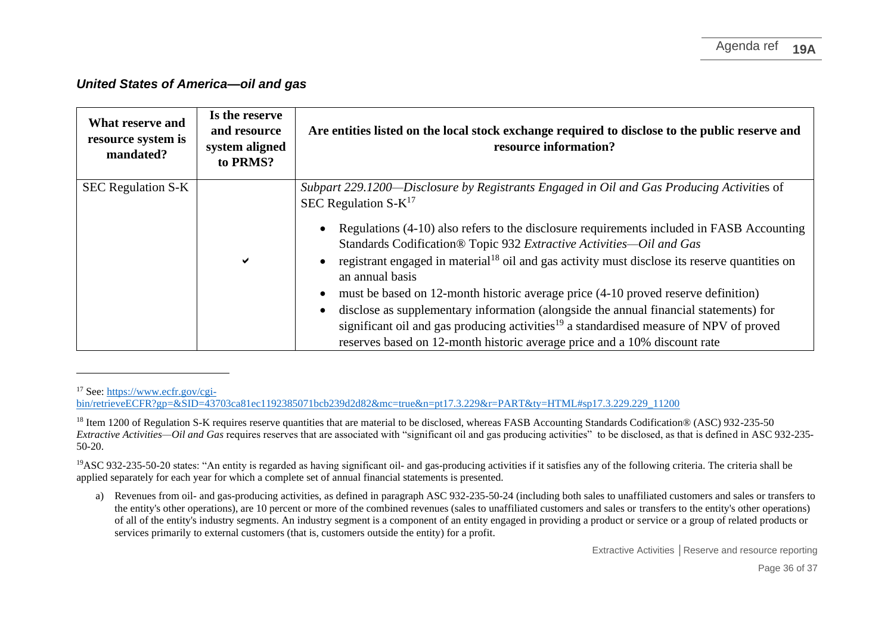#### *United States of America—oil and gas*

| What reserve and<br>resource system is<br>mandated? | Is the reserve<br>and resource<br>system aligned<br>to PRMS? | Are entities listed on the local stock exchange required to disclose to the public reserve and<br>resource information?                                                                                                                                                                                                                                                                                                                                                                                                                                                                                                                                                                                                                                                                     |
|-----------------------------------------------------|--------------------------------------------------------------|---------------------------------------------------------------------------------------------------------------------------------------------------------------------------------------------------------------------------------------------------------------------------------------------------------------------------------------------------------------------------------------------------------------------------------------------------------------------------------------------------------------------------------------------------------------------------------------------------------------------------------------------------------------------------------------------------------------------------------------------------------------------------------------------|
| <b>SEC Regulation S-K</b>                           | ✔                                                            | Subpart 229.1200—Disclosure by Registrants Engaged in Oil and Gas Producing Activities of<br>SEC Regulation $S-K^{17}$<br>Regulations (4-10) also refers to the disclosure requirements included in FASB Accounting<br>Standards Codification® Topic 932 Extractive Activities-Oil and Gas<br>registrant engaged in material <sup>18</sup> oil and gas activity must disclose its reserve quantities on<br>an annual basis<br>must be based on 12-month historic average price (4-10 proved reserve definition)<br>disclose as supplementary information (alongside the annual financial statements) for<br>significant oil and gas producing activities <sup>19</sup> a standardised measure of NPV of proved<br>reserves based on 12-month historic average price and a 10% discount rate |

<sup>17</sup> See[: https://www.ecfr.gov/cgi-](https://www.ecfr.gov/cgi-bin/retrieveECFR?gp=&SID=43703ca81ec1192385071bcb239d2d82&mc=true&n=pt17.3.229&r=PART&ty=HTML#sp17.3.229.229_11200)

Extractive Activities **│**Reserve and resource reporting

[bin/retrieveECFR?gp=&SID=43703ca81ec1192385071bcb239d2d82&mc=true&n=pt17.3.229&r=PART&ty=HTML#sp17.3.229.229\\_11200](https://www.ecfr.gov/cgi-bin/retrieveECFR?gp=&SID=43703ca81ec1192385071bcb239d2d82&mc=true&n=pt17.3.229&r=PART&ty=HTML#sp17.3.229.229_11200)

<sup>&</sup>lt;sup>18</sup> Item 1200 of Regulation S-K requires reserve quantities that are material to be disclosed, whereas FASB Accounting Standards Codification® (ASC) 932-235-50 *Extractive Activities—Oil and Gas* requires reserves that are associated with "significant oil and gas producing activities" to be disclosed, as that is defined in ASC 932-235- 50-20.

<sup>&</sup>lt;sup>19</sup>ASC 932-235-50-20 states: "An entity is regarded as having significant oil- and gas-producing activities if it satisfies any of the following criteria. The criteria shall be applied separately for each year for which a complete set of annual financial statements is presented.

a) Revenues from oil- and gas-producing activities, as defined in paragraph ASC 932-235-50-24 (including both sales to unaffiliated customers and sales or transfers to the entity's other operations), are 10 percent or more of the combined revenues (sales to unaffiliated customers and sales or transfers to the entity's other operations) of all of the entity's industry segments. An industry segment is a component of an entity engaged in providing a product or service or a group of related products or services primarily to external customers (that is, customers outside the entity) for a profit.